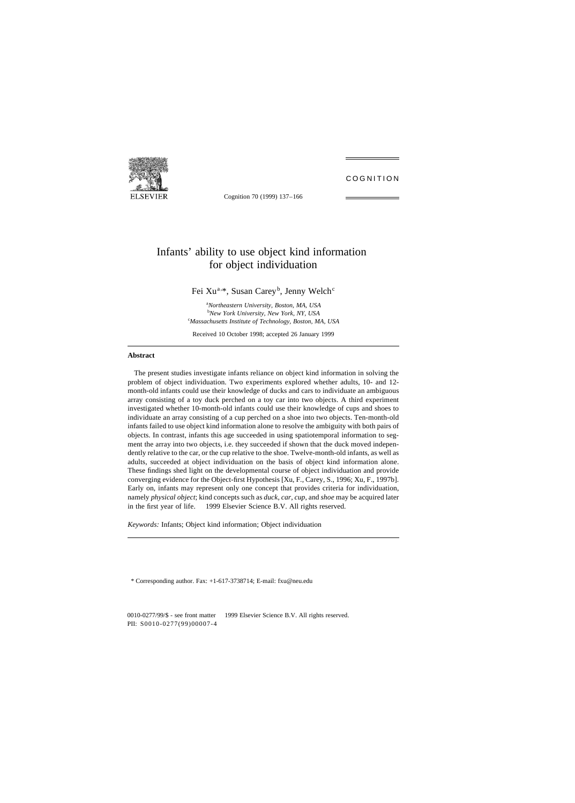Cognition 70 (1999) 137–166

# COGNITION

# Infants' ability to use object kind information for object individuation

Fei Xu<sup>a,\*</sup>, Susan Carey<sup>b</sup>, Jenny Welch<sup>c</sup>

a *Northeastern University, Boston, MA, USA* b *New York University, New York, NY, USA* c *Massachusetts Institute of Technology, Boston, MA, USA*

Received 10 October 1998; accepted 26 January 1999

### **Abstract**

The present studies investigate infants reliance on object kind information in solving the problem of object individuation. Two experiments explored whether adults, 10- and 12 month-old infants could use their knowledge of ducks and cars to individuate an ambiguous array consisting of a toy duck perched on a toy car into two objects. A third experiment investigated whether 10-month-old infants could use their knowledge of cups and shoes to individuate an array consisting of a cup perched on a shoe into two objects. Ten-month-old infants failed to use object kind information alone to resolve the ambiguity with both pairs of objects. In contrast, infants this age succeeded in using spatiotemporal information to segment the array into two objects, i.e. they succeeded if shown that the duck moved independently relative to the car, or the cup relative to the shoe. Twelve-month-old infants, as well as adults, succeeded at object individuation on the basis of object kind information alone. These findings shed light on the developmental course of object individuation and provide converging evidence for the Object-first Hypothesis [Xu, F., Carey, S., 1996; Xu, F., 1997b]. Early on, infants may represent only one concept that provides criteria for individuation, namely *physical object*; kind concepts such as *duck*, *car*, *cup*, and *shoe* may be acquired later in the first year of life. © 1999 Elsevier Science B.V. All rights reserved.

*Keywords:* Infants; Object kind information; Object individuation

\* Corresponding author. Fax: +1-617-3738714; E-mail: fxu@neu.edu

0010-0277/99/\$ - see front matter 1999 Elsevier Science B.V. All rights reserved. PII: S0010-0277(99)00007-4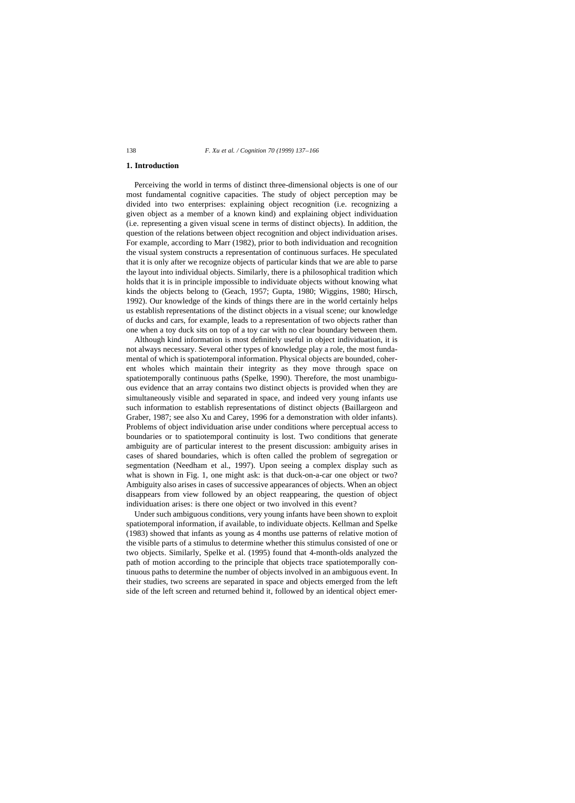#### **1. Introduction**

Perceiving the world in terms of distinct three-dimensional objects is one of our most fundamental cognitive capacities. The study of object perception may be divided into two enterprises: explaining object recognition (i.e. recognizing a given object as a member of a known kind) and explaining object individuation (i.e. representing a given visual scene in terms of distinct objects). In addition, the question of the relations between object recognition and object individuation arises. For example, according to Marr (1982), prior to both individuation and recognition the visual system constructs a representation of continuous surfaces. He speculated that it is only after we recognize objects of particular kinds that we are able to parse the layout into individual objects. Similarly, there is a philosophical tradition which holds that it is in principle impossible to individuate objects without knowing what kinds the objects belong to (Geach, 1957; Gupta, 1980; Wiggins, 1980; Hirsch, 1992). Our knowledge of the kinds of things there are in the world certainly helps us establish representations of the distinct objects in a visual scene; our knowledge of ducks and cars, for example, leads to a representation of two objects rather than one when a toy duck sits on top of a toy car with no clear boundary between them.

Although kind information is most definitely useful in object individuation, it is not always necessary. Several other types of knowledge play a role, the most fundamental of which is spatiotemporal information. Physical objects are bounded, coherent wholes which maintain their integrity as they move through space on spatiotemporally continuous paths (Spelke, 1990). Therefore, the most unambiguous evidence that an array contains two distinct objects is provided when they are simultaneously visible and separated in space, and indeed very young infants use such information to establish representations of distinct objects (Baillargeon and Graber, 1987; see also Xu and Carey, 1996 for a demonstration with older infants). Problems of object individuation arise under conditions where perceptual access to boundaries or to spatiotemporal continuity is lost. Two conditions that generate ambiguity are of particular interest to the present discussion: ambiguity arises in cases of shared boundaries, which is often called the problem of segregation or segmentation (Needham et al., 1997). Upon seeing a complex display such as what is shown in Fig. 1, one might ask: is that duck-on-a-car one object or two? Ambiguity also arises in cases of successive appearances of objects. When an object disappears from view followed by an object reappearing, the question of object individuation arises: is there one object or two involved in this event?

Under such ambiguous conditions, very young infants have been shown to exploit spatiotemporal information, if available, to individuate objects. Kellman and Spelke (1983) showed that infants as young as 4 months use patterns of relative motion of the visible parts of a stimulus to determine whether this stimulus consisted of one or two objects. Similarly, Spelke et al. (1995) found that 4-month-olds analyzed the path of motion according to the principle that objects trace spatiotemporally continuous paths to determine the number of objects involved in an ambiguous event. In their studies, two screens are separated in space and objects emerged from the left side of the left screen and returned behind it, followed by an identical object emer-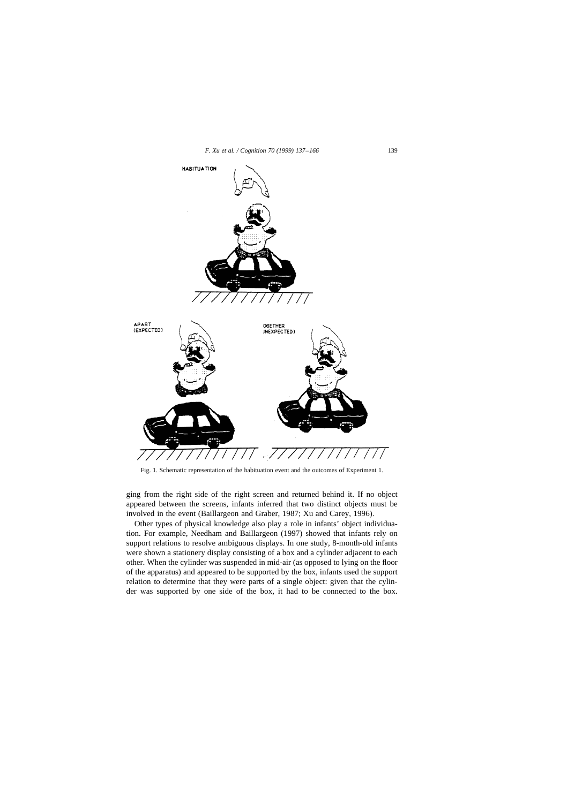

Fig. 1. Schematic representation of the habituation event and the outcomes of Experiment 1.

ging from the right side of the right screen and returned behind it. If no object appeared between the screens, infants inferred that two distinct objects must be involved in the event (Baillargeon and Graber, 1987; Xu and Carey, 1996).

Other types of physical knowledge also play a role in infants' object individuation. For example, Needham and Baillargeon (1997) showed that infants rely on support relations to resolve ambiguous displays. In one study, 8-month-old infants were shown a stationery display consisting of a box and a cylinder adjacent to each other. When the cylinder was suspended in mid-air (as opposed to lying on the floor of the apparatus) and appeared to be supported by the box, infants used the support relation to determine that they were parts of a single object: given that the cylinder was supported by one side of the box, it had to be connected to the box.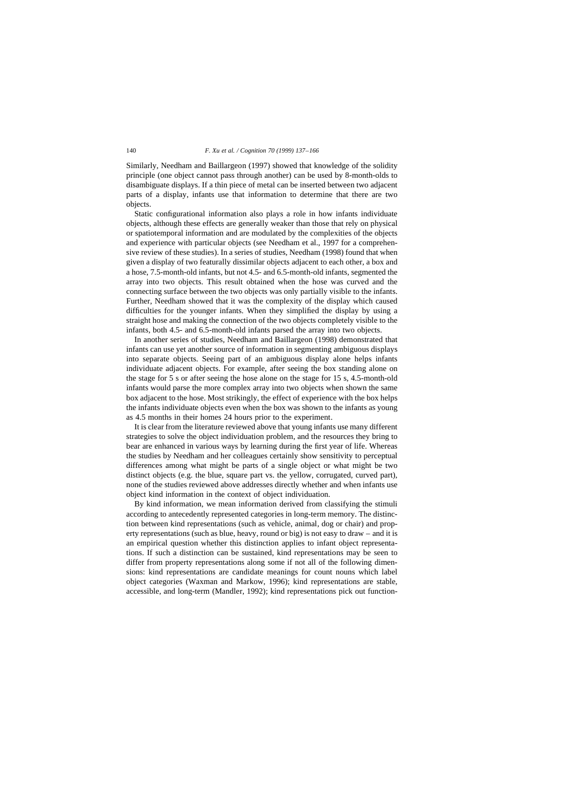Similarly, Needham and Baillargeon (1997) showed that knowledge of the solidity principle (one object cannot pass through another) can be used by 8-month-olds to disambiguate displays. If a thin piece of metal can be inserted between two adjacent parts of a display, infants use that information to determine that there are two objects.

Static configurational information also plays a role in how infants individuate objects, although these effects are generally weaker than those that rely on physical or spatiotemporal information and are modulated by the complexities of the objects and experience with particular objects (see Needham et al., 1997 for a comprehensive review of these studies). In a series of studies, Needham (1998) found that when given a display of two featurally dissimilar objects adjacent to each other, a box and a hose, 7.5-month-old infants, but not 4.5- and 6.5-month-old infants, segmented the array into two objects. This result obtained when the hose was curved and the connecting surface between the two objects was only partially visible to the infants. Further, Needham showed that it was the complexity of the display which caused difficulties for the younger infants. When they simplified the display by using a straight hose and making the connection of the two objects completely visible to the infants, both 4.5- and 6.5-month-old infants parsed the array into two objects.

In another series of studies, Needham and Baillargeon (1998) demonstrated that infants can use yet another source of information in segmenting ambiguous displays into separate objects. Seeing part of an ambiguous display alone helps infants individuate adjacent objects. For example, after seeing the box standing alone on the stage for 5 s or after seeing the hose alone on the stage for 15 s, 4.5-month-old infants would parse the more complex array into two objects when shown the same box adjacent to the hose. Most strikingly, the effect of experience with the box helps the infants individuate objects even when the box was shown to the infants as young as 4.5 months in their homes 24 hours prior to the experiment.

It is clear from the literature reviewed above that young infants use many different strategies to solve the object individuation problem, and the resources they bring to bear are enhanced in various ways by learning during the first year of life. Whereas the studies by Needham and her colleagues certainly show sensitivity to perceptual differences among what might be parts of a single object or what might be two distinct objects (e.g. the blue, square part vs. the yellow, corrugated, curved part), none of the studies reviewed above addresses directly whether and when infants use object kind information in the context of object individuation.

By kind information, we mean information derived from classifying the stimuli according to antecedently represented categories in long-term memory. The distinction between kind representations (such as vehicle, animal, dog or chair) and property representations (such as blue, heavy, round or big) is not easy to draw – and it is an empirical question whether this distinction applies to infant object representations. If such a distinction can be sustained, kind representations may be seen to differ from property representations along some if not all of the following dimensions: kind representations are candidate meanings for count nouns which label object categories (Waxman and Markow, 1996); kind representations are stable, accessible, and long-term (Mandler, 1992); kind representations pick out function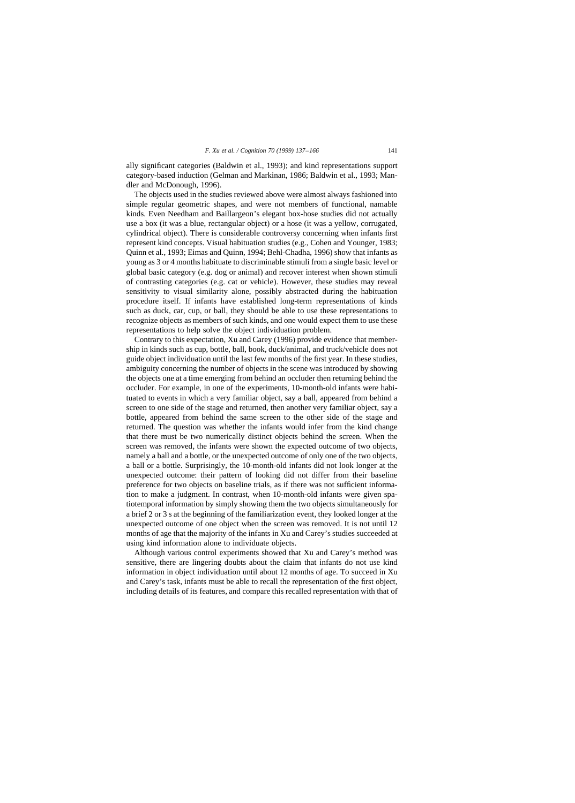ally significant categories (Baldwin et al., 1993); and kind representations support category-based induction (Gelman and Markinan, 1986; Baldwin et al., 1993; Mandler and McDonough, 1996).

The objects used in the studies reviewed above were almost always fashioned into simple regular geometric shapes, and were not members of functional, namable kinds. Even Needham and Baillargeon's elegant box-hose studies did not actually use a box (it was a blue, rectangular object) or a hose (it was a yellow, corrugated, cylindrical object). There is considerable controversy concerning when infants first represent kind concepts. Visual habituation studies (e.g., Cohen and Younger, 1983; Quinn et al., 1993; Eimas and Quinn, 1994; Behl-Chadha, 1996) show that infants as young as 3 or 4 months habituate to discriminable stimuli from a single basic level or global basic category (e.g. dog or animal) and recover interest when shown stimuli of contrasting categories (e.g. cat or vehicle). However, these studies may reveal sensitivity to visual similarity alone, possibly abstracted during the habituation procedure itself. If infants have established long-term representations of kinds such as duck, car, cup, or ball, they should be able to use these representations to recognize objects as members of such kinds, and one would expect them to use these representations to help solve the object individuation problem.

Contrary to this expectation, Xu and Carey (1996) provide evidence that membership in kinds such as cup, bottle, ball, book, duck/animal, and truck/vehicle does not guide object individuation until the last few months of the first year. In these studies, ambiguity concerning the number of objects in the scene was introduced by showing the objects one at a time emerging from behind an occluder then returning behind the occluder. For example, in one of the experiments, 10-month-old infants were habituated to events in which a very familiar object, say a ball, appeared from behind a screen to one side of the stage and returned, then another very familiar object, say a bottle, appeared from behind the same screen to the other side of the stage and returned. The question was whether the infants would infer from the kind change that there must be two numerically distinct objects behind the screen. When the screen was removed, the infants were shown the expected outcome of two objects, namely a ball and a bottle, or the unexpected outcome of only one of the two objects, a ball or a bottle. Surprisingly, the 10-month-old infants did not look longer at the unexpected outcome: their pattern of looking did not differ from their baseline preference for two objects on baseline trials, as if there was not sufficient information to make a judgment. In contrast, when 10-month-old infants were given spatiotemporal information by simply showing them the two objects simultaneously for a brief 2 or 3 s at the beginning of the familiarization event, they looked longer at the unexpected outcome of one object when the screen was removed. It is not until 12 months of age that the majority of the infants in Xu and Carey's studies succeeded at using kind information alone to individuate objects.

Although various control experiments showed that Xu and Carey's method was sensitive, there are lingering doubts about the claim that infants do not use kind information in object individuation until about 12 months of age. To succeed in Xu and Carey's task, infants must be able to recall the representation of the first object, including details of its features, and compare this recalled representation with that of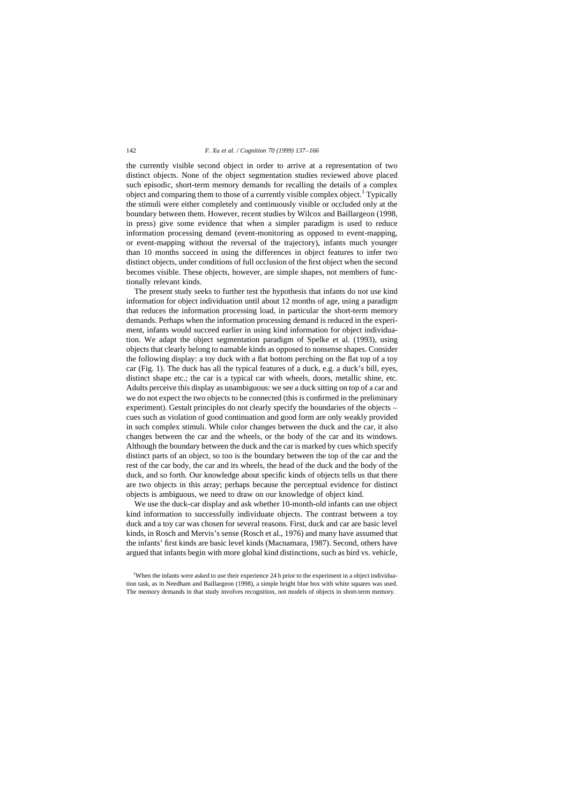the currently visible second object in order to arrive at a representation of two distinct objects. None of the object segmentation studies reviewed above placed such episodic, short-term memory demands for recalling the details of a complex object and comparing them to those of a currently visible complex object.<sup>1</sup> Typically the stimuli were either completely and continuously visible or occluded only at the boundary between them. However, recent studies by Wilcox and Baillargeon (1998, in press) give some evidence that when a simpler paradigm is used to reduce information processing demand (event-monitoring as opposed to event-mapping, or event-mapping without the reversal of the trajectory), infants much younger than 10 months succeed in using the differences in object features to infer two distinct objects, under conditions of full occlusion of the first object when the second becomes visible. These objects, however, are simple shapes, not members of functionally relevant kinds.

The present study seeks to further test the hypothesis that infants do not use kind information for object individuation until about 12 months of age, using a paradigm that reduces the information processing load, in particular the short-term memory demands. Perhaps when the information processing demand is reduced in the experiment, infants would succeed earlier in using kind information for object individuation. We adapt the object segmentation paradigm of Spelke et al. (1993), using objects that clearly belong to namable kinds as opposed to nonsense shapes. Consider the following display: a toy duck with a flat bottom perching on the flat top of a toy car (Fig. 1). The duck has all the typical features of a duck, e.g. a duck's bill, eyes, distinct shape etc.; the car is a typical car with wheels, doors, metallic shine, etc. Adults perceive this display as unambiguous: we see a duck sitting on top of a car and we do not expect the two objects to be connected (this is confirmed in the preliminary experiment). Gestalt principles do not clearly specify the boundaries of the objects – cues such as violation of good continuation and good form are only weakly provided in such complex stimuli. While color changes between the duck and the car, it also changes between the car and the wheels, or the body of the car and its windows. Although the boundary between the duck and the car is marked by cues which specify distinct parts of an object, so too is the boundary between the top of the car and the rest of the car body, the car and its wheels, the head of the duck and the body of the duck, and so forth. Our knowledge about specific kinds of objects tells us that there are two objects in this array; perhaps because the perceptual evidence for distinct objects is ambiguous, we need to draw on our knowledge of object kind.

We use the duck-car display and ask whether 10-month-old infants can use object kind information to successfully individuate objects. The contrast between a toy duck and a toy car was chosen for several reasons. First, duck and car are basic level kinds, in Rosch and Mervis's sense (Rosch et al., 1976) and many have assumed that the infants' first kinds are basic level kinds (Macnamara, 1987). Second, others have argued that infants begin with more global kind distinctions, such as bird vs. vehicle,

<sup>&</sup>lt;sup>1</sup>When the infants were asked to use their experience 24 h prior to the experiment in a object individuation task, as in Needham and Baillargeon (1998), a simple bright blue box with white squares was used. The memory demands in that study involves recognition, not models of objects in short-term memory.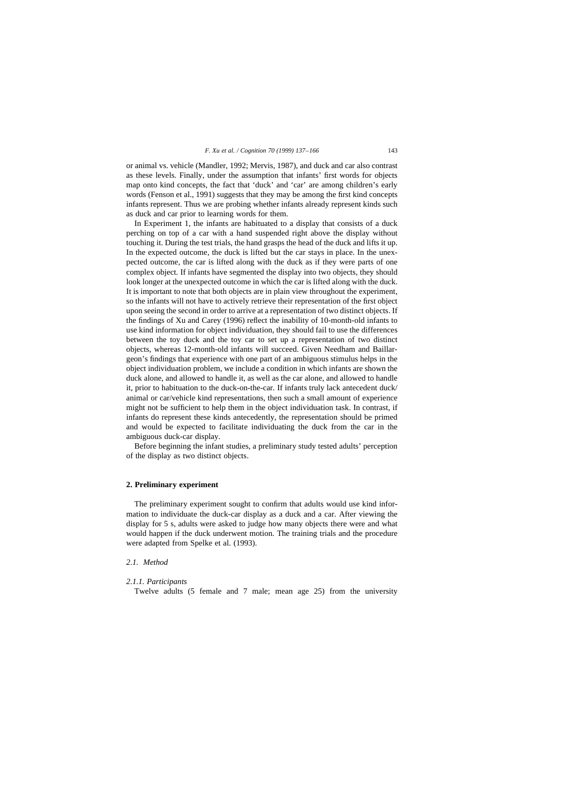or animal vs. vehicle (Mandler, 1992; Mervis, 1987), and duck and car also contrast as these levels. Finally, under the assumption that infants' first words for objects map onto kind concepts, the fact that 'duck' and 'car' are among children's early words (Fenson et al., 1991) suggests that they may be among the first kind concepts infants represent. Thus we are probing whether infants already represent kinds such as duck and car prior to learning words for them.

In Experiment 1, the infants are habituated to a display that consists of a duck perching on top of a car with a hand suspended right above the display without touching it. During the test trials, the hand grasps the head of the duck and lifts it up. In the expected outcome, the duck is lifted but the car stays in place. In the unexpected outcome, the car is lifted along with the duck as if they were parts of one complex object. If infants have segmented the display into two objects, they should look longer at the unexpected outcome in which the car is lifted along with the duck. It is important to note that both objects are in plain view throughout the experiment, so the infants will not have to actively retrieve their representation of the first object upon seeing the second in order to arrive at a representation of two distinct objects. If the findings of Xu and Carey (1996) reflect the inability of 10-month-old infants to use kind information for object individuation, they should fail to use the differences between the toy duck and the toy car to set up a representation of two distinct objects, whereas 12-month-old infants will succeed. Given Needham and Baillargeon's findings that experience with one part of an ambiguous stimulus helps in the object individuation problem, we include a condition in which infants are shown the duck alone, and allowed to handle it, as well as the car alone, and allowed to handle it, prior to habituation to the duck-on-the-car. If infants truly lack antecedent duck/ animal or car/vehicle kind representations, then such a small amount of experience might not be sufficient to help them in the object individuation task. In contrast, if infants do represent these kinds antecedently, the representation should be primed and would be expected to facilitate individuating the duck from the car in the ambiguous duck-car display.

Before beginning the infant studies, a preliminary study tested adults' perception of the display as two distinct objects.

### **2. Preliminary experiment**

The preliminary experiment sought to confirm that adults would use kind information to individuate the duck-car display as a duck and a car. After viewing the display for 5 s, adults were asked to judge how many objects there were and what would happen if the duck underwent motion. The training trials and the procedure were adapted from Spelke et al. (1993).

### *2.1. Method*

#### *2.1.1. Participants*

Twelve adults (5 female and 7 male; mean age 25) from the university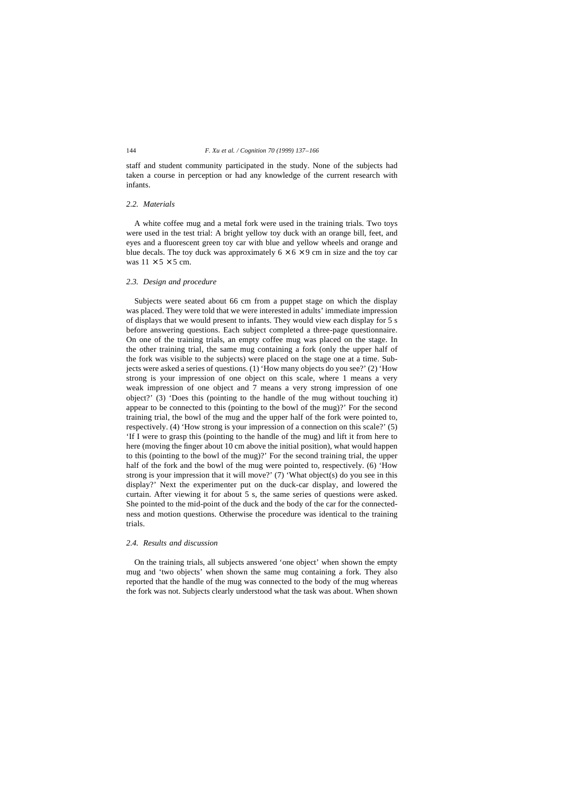staff and student community participated in the study. None of the subjects had taken a course in perception or had any knowledge of the current research with infants.

### *2.2. Materials*

A white coffee mug and a metal fork were used in the training trials. Two toys were used in the test trial: A bright yellow toy duck with an orange bill, feet, and eyes and a fluorescent green toy car with blue and yellow wheels and orange and blue decals. The toy duck was approximately  $6 \times 6 \times 9$  cm in size and the toy car was  $11 \times 5 \times 5$  cm.

### *2.3. Design and procedure*

Subjects were seated about 66 cm from a puppet stage on which the display was placed. They were told that we were interested in adults' immediate impression of displays that we would present to infants. They would view each display for 5 s before answering questions. Each subject completed a three-page questionnaire. On one of the training trials, an empty coffee mug was placed on the stage. In the other training trial, the same mug containing a fork (only the upper half of the fork was visible to the subjects) were placed on the stage one at a time. Subjects were asked a series of questions. (1) 'How many objects do you see?' (2) 'How strong is your impression of one object on this scale, where 1 means a very weak impression of one object and 7 means a very strong impression of one object?' (3) 'Does this (pointing to the handle of the mug without touching it) appear to be connected to this (pointing to the bowl of the mug)?' For the second training trial, the bowl of the mug and the upper half of the fork were pointed to, respectively. (4) 'How strong is your impression of a connection on this scale?' (5) 'If I were to grasp this (pointing to the handle of the mug) and lift it from here to here (moving the finger about 10 cm above the initial position), what would happen to this (pointing to the bowl of the mug)?' For the second training trial, the upper half of the fork and the bowl of the mug were pointed to, respectively. (6) 'How strong is your impression that it will move?' (7) 'What object(s) do you see in this display?' Next the experimenter put on the duck-car display, and lowered the curtain. After viewing it for about 5 s, the same series of questions were asked. She pointed to the mid-point of the duck and the body of the car for the connectedness and motion questions. Otherwise the procedure was identical to the training trials.

### *2.4. Results and discussion*

On the training trials, all subjects answered 'one object' when shown the empty mug and 'two objects' when shown the same mug containing a fork. They also reported that the handle of the mug was connected to the body of the mug whereas the fork was not. Subjects clearly understood what the task was about. When shown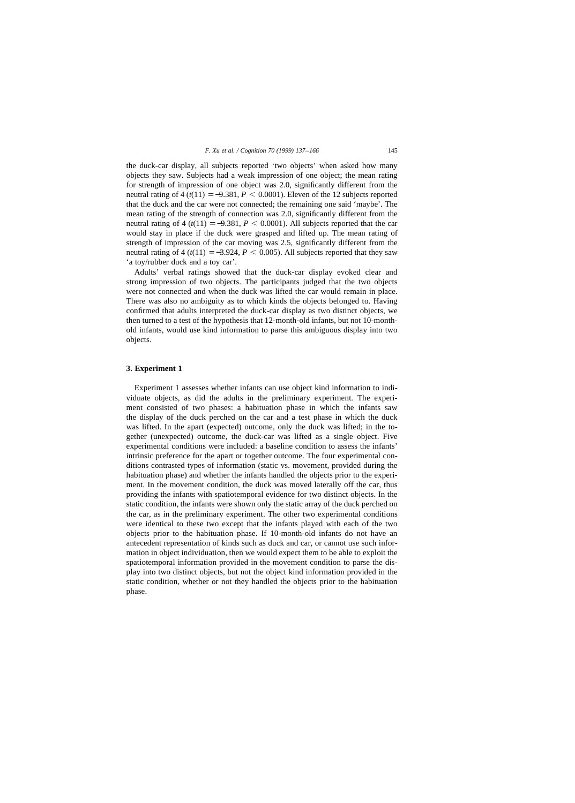the duck-car display, all subjects reported 'two objects' when asked how many objects they saw. Subjects had a weak impression of one object; the mean rating for strength of impression of one object was 2.0, significantly different from the neutral rating of  $4(t(11) = -9.381, P \le 0.0001)$ . Eleven of the 12 subjects reported that the duck and the car were not connected; the remaining one said 'maybe'. The mean rating of the strength of connection was 2.0, significantly different from the neutral rating of 4 ( $t(11) = -9.381$ ,  $P < 0.0001$ ). All subjects reported that the car would stay in place if the duck were grasped and lifted up. The mean rating of strength of impression of the car moving was 2.5, significantly different from the neutral rating of 4 ( $t(11) = -3.924$ ,  $P < 0.005$ ). All subjects reported that they saw 'a toy/rubber duck and a toy car'.

Adults' verbal ratings showed that the duck-car display evoked clear and strong impression of two objects. The participants judged that the two objects were not connected and when the duck was lifted the car would remain in place. There was also no ambiguity as to which kinds the objects belonged to. Having confirmed that adults interpreted the duck-car display as two distinct objects, we then turned to a test of the hypothesis that 12-month-old infants, but not 10-monthold infants, would use kind information to parse this ambiguous display into two objects.

### **3. Experiment 1**

Experiment 1 assesses whether infants can use object kind information to individuate objects, as did the adults in the preliminary experiment. The experiment consisted of two phases: a habituation phase in which the infants saw the display of the duck perched on the car and a test phase in which the duck was lifted. In the apart (expected) outcome, only the duck was lifted; in the together (unexpected) outcome, the duck-car was lifted as a single object. Five experimental conditions were included: a baseline condition to assess the infants' intrinsic preference for the apart or together outcome. The four experimental conditions contrasted types of information (static vs. movement, provided during the habituation phase) and whether the infants handled the objects prior to the experiment. In the movement condition, the duck was moved laterally off the car, thus providing the infants with spatiotemporal evidence for two distinct objects. In the static condition, the infants were shown only the static array of the duck perched on the car, as in the preliminary experiment. The other two experimental conditions were identical to these two except that the infants played with each of the two objects prior to the habituation phase. If 10-month-old infants do not have an antecedent representation of kinds such as duck and car, or cannot use such information in object individuation, then we would expect them to be able to exploit the spatiotemporal information provided in the movement condition to parse the display into two distinct objects, but not the object kind information provided in the static condition, whether or not they handled the objects prior to the habituation phase.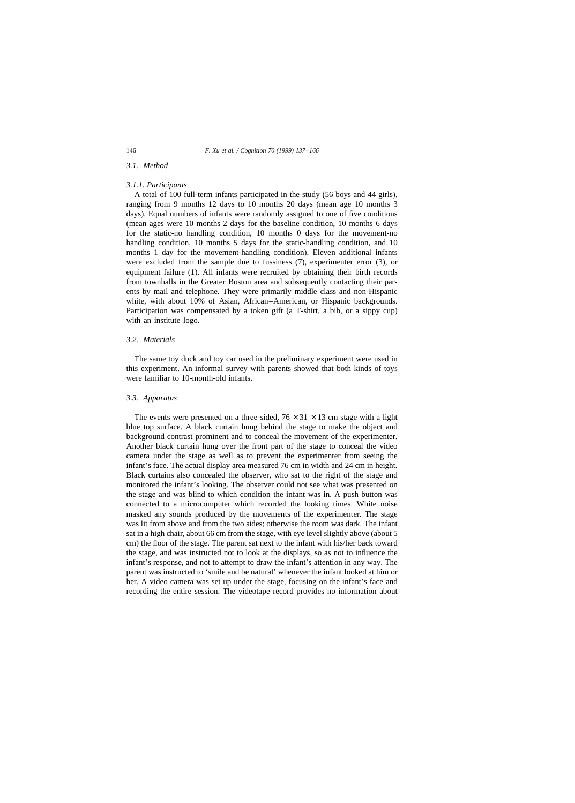# *3.1. Method*

#### *3.1.1. Participants*

A total of 100 full-term infants participated in the study (56 boys and 44 girls), ranging from 9 months 12 days to 10 months 20 days (mean age 10 months 3 days). Equal numbers of infants were randomly assigned to one of five conditions (mean ages were 10 months 2 days for the baseline condition, 10 months 6 days for the static-no handling condition, 10 months 0 days for the movement-no handling condition, 10 months 5 days for the static-handling condition, and 10 months 1 day for the movement-handling condition). Eleven additional infants were excluded from the sample due to fussiness (7), experimenter error (3), or equipment failure (1). All infants were recruited by obtaining their birth records from townhalls in the Greater Boston area and subsequently contacting their parents by mail and telephone. They were primarily middle class and non-Hispanic white, with about 10% of Asian, African–American, or Hispanic backgrounds. Participation was compensated by a token gift (a T-shirt, a bib, or a sippy cup) with an institute logo.

#### *3.2. Materials*

The same toy duck and toy car used in the preliminary experiment were used in this experiment. An informal survey with parents showed that both kinds of toys were familiar to 10-month-old infants.

#### *3.3. Apparatus*

The events were presented on a three-sided,  $76 \times 31 \times 13$  cm stage with a light blue top surface. A black curtain hung behind the stage to make the object and background contrast prominent and to conceal the movement of the experimenter. Another black curtain hung over the front part of the stage to conceal the video camera under the stage as well as to prevent the experimenter from seeing the infant's face. The actual display area measured 76 cm in width and 24 cm in height. Black curtains also concealed the observer, who sat to the right of the stage and monitored the infant's looking. The observer could not see what was presented on the stage and was blind to which condition the infant was in. A push button was connected to a microcomputer which recorded the looking times. White noise masked any sounds produced by the movements of the experimenter. The stage was lit from above and from the two sides; otherwise the room was dark. The infant sat in a high chair, about 66 cm from the stage, with eye level slightly above (about 5 cm) the floor of the stage. The parent sat next to the infant with his/her back toward the stage, and was instructed not to look at the displays, so as not to influence the infant's response, and not to attempt to draw the infant's attention in any way. The parent was instructed to 'smile and be natural' whenever the infant looked at him or her. A video camera was set up under the stage, focusing on the infant's face and recording the entire session. The videotape record provides no information about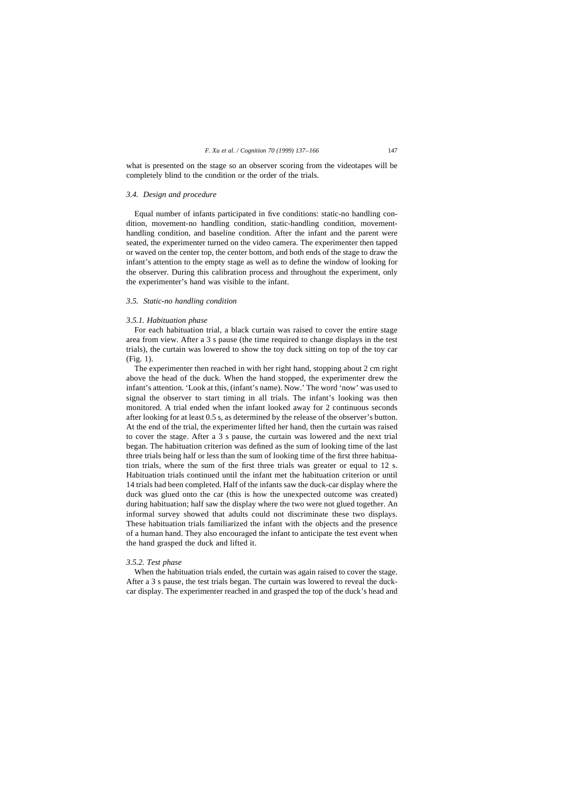what is presented on the stage so an observer scoring from the videotapes will be completely blind to the condition or the order of the trials.

#### *3.4. Design and procedure*

Equal number of infants participated in five conditions: static-no handling condition, movement-no handling condition, static-handling condition, movementhandling condition, and baseline condition. After the infant and the parent were seated, the experimenter turned on the video camera. The experimenter then tapped or waved on the center top, the center bottom, and both ends of the stage to draw the infant's attention to the empty stage as well as to define the window of looking for the observer. During this calibration process and throughout the experiment, only the experimenter's hand was visible to the infant.

#### *3.5. Static-no handling condition*

#### *3.5.1. Habituation phase*

For each habituation trial, a black curtain was raised to cover the entire stage area from view. After a 3 s pause (the time required to change displays in the test trials), the curtain was lowered to show the toy duck sitting on top of the toy car (Fig. 1).

The experimenter then reached in with her right hand, stopping about 2 cm right above the head of the duck. When the hand stopped, the experimenter drew the infant's attention. 'Look at this, (infant's name). Now.' The word 'now' was used to signal the observer to start timing in all trials. The infant's looking was then monitored. A trial ended when the infant looked away for 2 continuous seconds after looking for at least 0.5 s, as determined by the release of the observer's button. At the end of the trial, the experimenter lifted her hand, then the curtain was raised to cover the stage. After a 3 s pause, the curtain was lowered and the next trial began. The habituation criterion was defined as the sum of looking time of the last three trials being half or less than the sum of looking time of the first three habituation trials, where the sum of the first three trials was greater or equal to 12 s. Habituation trials continued until the infant met the habituation criterion or until 14 trials had been completed. Half of the infants saw the duck-car display where the duck was glued onto the car (this is how the unexpected outcome was created) during habituation; half saw the display where the two were not glued together. An informal survey showed that adults could not discriminate these two displays. These habituation trials familiarized the infant with the objects and the presence of a human hand. They also encouraged the infant to anticipate the test event when the hand grasped the duck and lifted it.

### *3.5.2. Test phase*

When the habituation trials ended, the curtain was again raised to cover the stage. After a 3 s pause, the test trials began. The curtain was lowered to reveal the duckcar display. The experimenter reached in and grasped the top of the duck's head and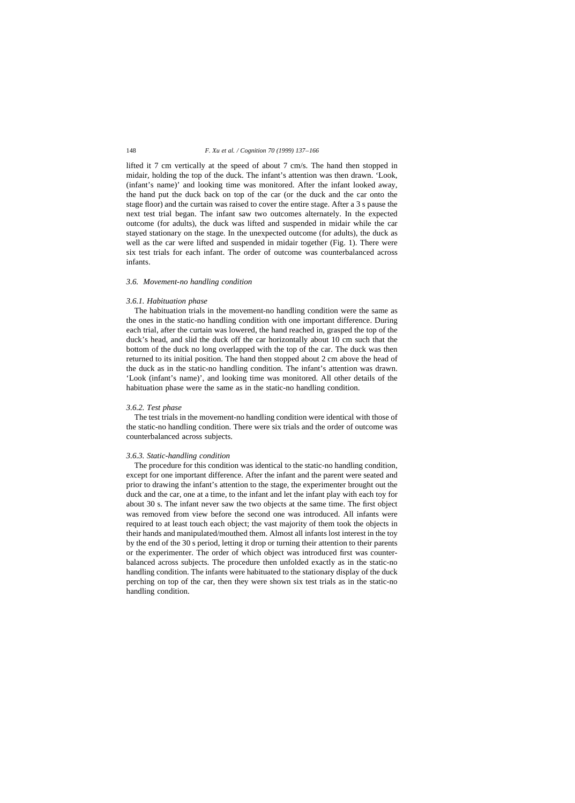lifted it 7 cm vertically at the speed of about 7 cm/s. The hand then stopped in midair, holding the top of the duck. The infant's attention was then drawn. 'Look, (infant's name)' and looking time was monitored. After the infant looked away, the hand put the duck back on top of the car (or the duck and the car onto the stage floor) and the curtain was raised to cover the entire stage. After a 3 s pause the next test trial began. The infant saw two outcomes alternately. In the expected outcome (for adults), the duck was lifted and suspended in midair while the car stayed stationary on the stage. In the unexpected outcome (for adults), the duck as well as the car were lifted and suspended in midair together (Fig. 1). There were six test trials for each infant. The order of outcome was counterbalanced across infants.

### *3.6. Movement-no handling condition*

#### *3.6.1. Habituation phase*

The habituation trials in the movement-no handling condition were the same as the ones in the static-no handling condition with one important difference. During each trial, after the curtain was lowered, the hand reached in, grasped the top of the duck's head, and slid the duck off the car horizontally about 10 cm such that the bottom of the duck no long overlapped with the top of the car. The duck was then returned to its initial position. The hand then stopped about 2 cm above the head of the duck as in the static-no handling condition. The infant's attention was drawn. 'Look (infant's name)', and looking time was monitored. All other details of the habituation phase were the same as in the static-no handling condition.

#### *3.6.2. Test phase*

The test trials in the movement-no handling condition were identical with those of the static-no handling condition. There were six trials and the order of outcome was counterbalanced across subjects.

#### *3.6.3. Static-handling condition*

The procedure for this condition was identical to the static-no handling condition, except for one important difference. After the infant and the parent were seated and prior to drawing the infant's attention to the stage, the experimenter brought out the duck and the car, one at a time, to the infant and let the infant play with each toy for about 30 s. The infant never saw the two objects at the same time. The first object was removed from view before the second one was introduced. All infants were required to at least touch each object; the vast majority of them took the objects in their hands and manipulated/mouthed them. Almost all infants lost interest in the toy by the end of the 30 s period, letting it drop or turning their attention to their parents or the experimenter. The order of which object was introduced first was counterbalanced across subjects. The procedure then unfolded exactly as in the static-no handling condition. The infants were habituated to the stationary display of the duck perching on top of the car, then they were shown six test trials as in the static-no handling condition.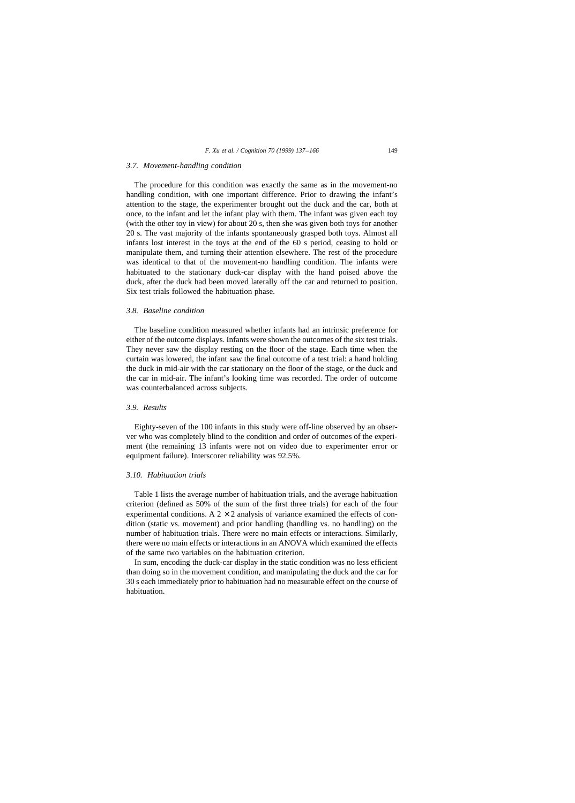#### *3.7. Movement-handling condition*

The procedure for this condition was exactly the same as in the movement-no handling condition, with one important difference. Prior to drawing the infant's attention to the stage, the experimenter brought out the duck and the car, both at once, to the infant and let the infant play with them. The infant was given each toy (with the other toy in view) for about 20 s, then she was given both toys for another 20 s. The vast majority of the infants spontaneously grasped both toys. Almost all infants lost interest in the toys at the end of the 60 s period, ceasing to hold or manipulate them, and turning their attention elsewhere. The rest of the procedure was identical to that of the movement-no handling condition. The infants were habituated to the stationary duck-car display with the hand poised above the duck, after the duck had been moved laterally off the car and returned to position. Six test trials followed the habituation phase.

### *3.8. Baseline condition*

The baseline condition measured whether infants had an intrinsic preference for either of the outcome displays. Infants were shown the outcomes of the six test trials. They never saw the display resting on the floor of the stage. Each time when the curtain was lowered, the infant saw the final outcome of a test trial: a hand holding the duck in mid-air with the car stationary on the floor of the stage, or the duck and the car in mid-air. The infant's looking time was recorded. The order of outcome was counterbalanced across subjects.

### *3.9. Results*

Eighty-seven of the 100 infants in this study were off-line observed by an observer who was completely blind to the condition and order of outcomes of the experiment (the remaining 13 infants were not on video due to experimenter error or equipment failure). Interscorer reliability was 92.5%.

### *3.10. Habituation trials*

Table 1 lists the average number of habituation trials, and the average habituation criterion (defined as 50% of the sum of the first three trials) for each of the four experimental conditions. A  $2 \times 2$  analysis of variance examined the effects of condition (static vs. movement) and prior handling (handling vs. no handling) on the number of habituation trials. There were no main effects or interactions. Similarly, there were no main effects or interactions in an ANOVA which examined the effects of the same two variables on the habituation criterion.

In sum, encoding the duck-car display in the static condition was no less efficient than doing so in the movement condition, and manipulating the duck and the car for 30 s each immediately prior to habituation had no measurable effect on the course of habituation.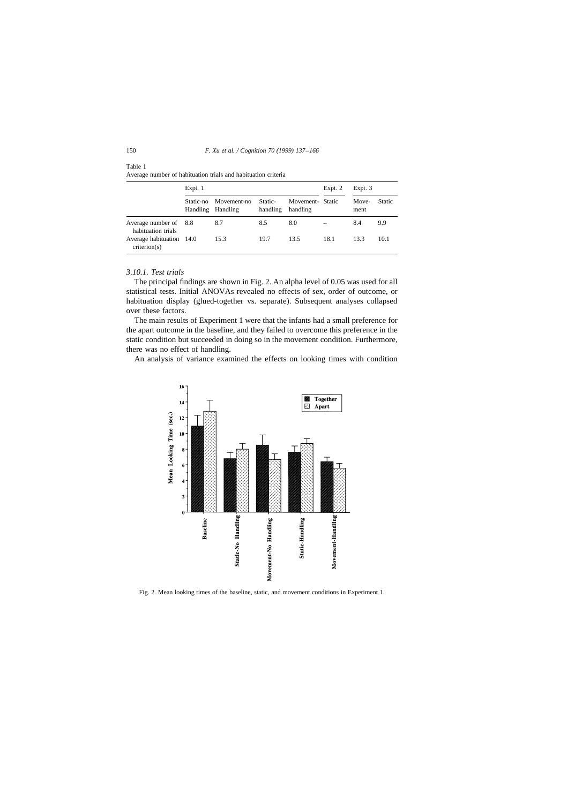|                                             | Expt. 1 |                                            | Expt. 2 | Expt. 3                                             |      |               |        |
|---------------------------------------------|---------|--------------------------------------------|---------|-----------------------------------------------------|------|---------------|--------|
|                                             |         | Static-no Movement-no<br>Handling Handling |         | Static-<br>Movement- Static<br>handling<br>handling |      | Move-<br>ment | Static |
| Average number of 8.8<br>habituation trials |         | 8.7                                        | 8.5     | 8.0                                                 |      | 8.4           | 9.9    |
| Average habituation 14.0<br>criterion(s)    |         | 15.3                                       | 19.7    | 13.5                                                | 18.1 | 13.3          | 10.1   |

| Table 1                                                       |  |  |  |
|---------------------------------------------------------------|--|--|--|
| Average number of habituation trials and habituation criteria |  |  |  |

### *3.10.1. Test trials*

The principal findings are shown in Fig. 2. An alpha level of 0.05 was used for all statistical tests. Initial ANOVAs revealed no effects of sex, order of outcome, or habituation display (glued-together vs. separate). Subsequent analyses collapsed over these factors.

The main results of Experiment 1 were that the infants had a small preference for the apart outcome in the baseline, and they failed to overcome this preference in the static condition but succeeded in doing so in the movement condition. Furthermore, there was no effect of handling.

An analysis of variance examined the effects on looking times with condition



Fig. 2. Mean looking times of the baseline, static, and movement conditions in Experiment 1.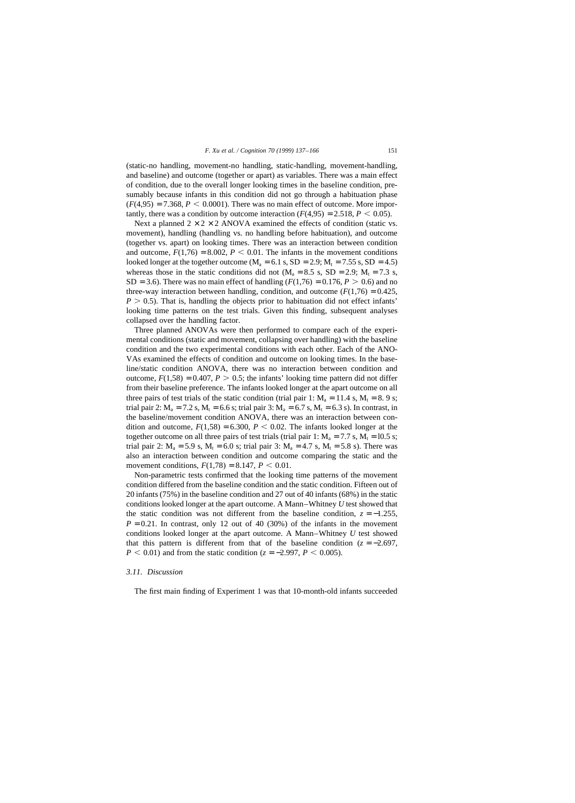(static-no handling, movement-no handling, static-handling, movement-handling, and baseline) and outcome (together or apart) as variables. There was a main effect of condition, due to the overall longer looking times in the baseline condition, presumably because infants in this condition did not go through a habituation phase  $(F(4,95) = 7.368, P < 0.0001)$ . There was no main effect of outcome. More importantly, there was a condition by outcome interaction  $(F(4,95) = 2.518, P \le 0.05)$ .

Next a planned  $2 \times 2 \times 2$  ANOVA examined the effects of condition (static vs. movement), handling (handling vs. no handling before habituation), and outcome (together vs. apart) on looking times. There was an interaction between condition and outcome,  $F(1,76) = 8.002$ ,  $P < 0.01$ . The infants in the movement conditions looked longer at the together outcome ( $M_a = 6.1$  s,  $SD = 2.9$ ;  $M_t = 7.55$  s,  $SD = 4.5$ ) whereas those in the static conditions did not ( $M_a = 8.5$  s, SD = 2.9;  $M_t = 7.3$  s,  $SD = 3.6$ ). There was no main effect of handling  $(F(1,76) = 0.176, P > 0.6)$  and no three-way interaction between handling, condition, and outcome  $(F(1,76) = 0.425)$ ,  $P > 0.5$ ). That is, handling the objects prior to habituation did not effect infants' looking time patterns on the test trials. Given this finding, subsequent analyses collapsed over the handling factor.

Three planned ANOVAs were then performed to compare each of the experimental conditions (static and movement, collapsing over handling) with the baseline condition and the two experimental conditions with each other. Each of the ANO-VAs examined the effects of condition and outcome on looking times. In the baseline/static condition ANOVA, there was no interaction between condition and outcome,  $F(1,58) = 0.407$ ,  $P > 0.5$ ; the infants' looking time pattern did not differ from their baseline preference. The infants looked longer at the apart outcome on all three pairs of test trials of the static condition (trial pair 1:  $M_a = 11.4$  s,  $M_t = 8.9$  s; trial pair 2:  $M_a = 7.2$  s,  $M_t = 6.6$  s; trial pair 3:  $M_a = 6.7$  s,  $M_t = 6.3$  s). In contrast, in the baseline/movement condition ANOVA, there was an interaction between condition and outcome,  $F(1,58) = 6.300$ ,  $P < 0.02$ . The infants looked longer at the together outcome on all three pairs of test trials (trial pair 1:  $M_a = 7.7$  s,  $M_t = 10.5$  s; trial pair 2:  $M_a = 5.9$  s,  $M_t = 6.0$  s; trial pair 3:  $M_a = 4.7$  s,  $M_t = 5.8$  s). There was also an interaction between condition and outcome comparing the static and the movement conditions,  $F(1,78) = 8.147$ ,  $P < 0.01$ .

Non-parametric tests confirmed that the looking time patterns of the movement condition differed from the baseline condition and the static condition. Fifteen out of 20 infants (75%) in the baseline condition and 27 out of 40 infants (68%) in the static conditions looked longer at the apart outcome. A Mann–Whitney *U* test showed that the static condition was not different from the baseline condition,  $z = -1.255$ ,  $P = 0.21$ . In contrast, only 12 out of 40 (30%) of the infants in the movement conditions looked longer at the apart outcome. A Mann–Whitney *U* test showed that this pattern is different from that of the baseline condition  $(z = -2.697,$ *P* < 0.01) and from the static condition ( $z = -2.997$ , *P* < 0.005).

#### *3.11. Discussion*

The first main finding of Experiment 1 was that 10-month-old infants succeeded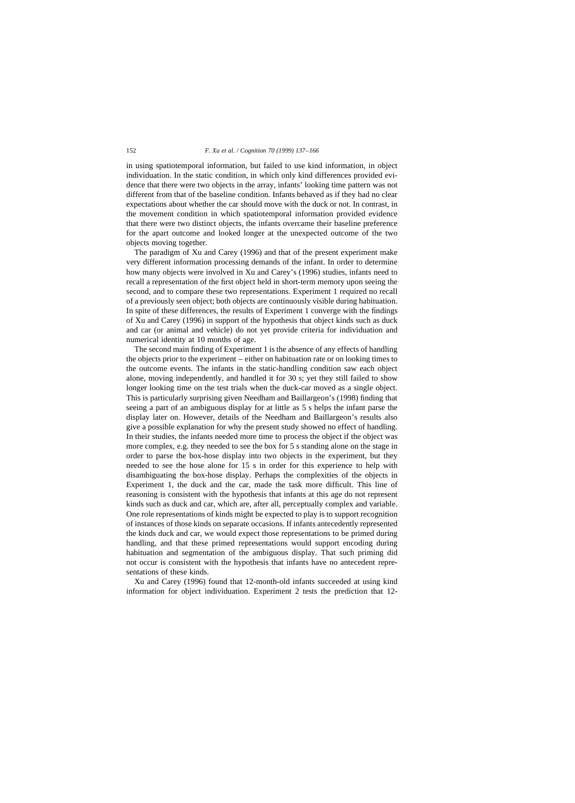in using spatiotemporal information, but failed to use kind information, in object individuation. In the static condition, in which only kind differences provided evidence that there were two objects in the array, infants' looking time pattern was not different from that of the baseline condition. Infants behaved as if they had no clear expectations about whether the car should move with the duck or not. In contrast, in the movement condition in which spatiotemporal information provided evidence that there were two distinct objects, the infants overcame their baseline preference for the apart outcome and looked longer at the unexpected outcome of the two objects moving together.

The paradigm of Xu and Carey (1996) and that of the present experiment make very different information processing demands of the infant. In order to determine how many objects were involved in Xu and Carey's (1996) studies, infants need to recall a representation of the first object held in short-term memory upon seeing the second, and to compare these two representations. Experiment 1 required no recall of a previously seen object; both objects are continuously visible during habituation. In spite of these differences, the results of Experiment 1 converge with the findings of Xu and Carey (1996) in support of the hypothesis that object kinds such as duck and car (or animal and vehicle) do not yet provide criteria for individuation and numerical identity at 10 months of age.

The second main finding of Experiment 1 is the absence of any effects of handling the objects prior to the experiment – either on habituation rate or on looking times to the outcome events. The infants in the static-handling condition saw each object alone, moving independently, and handled it for 30 s; yet they still failed to show longer looking time on the test trials when the duck-car moved as a single object. This is particularly surprising given Needham and Baillargeon's (1998) finding that seeing a part of an ambiguous display for at little as 5 s helps the infant parse the display later on. However, details of the Needham and Baillargeon's results also give a possible explanation for why the present study showed no effect of handling. In their studies, the infants needed more time to process the object if the object was more complex, e.g. they needed to see the box for 5 s standing alone on the stage in order to parse the box-hose display into two objects in the experiment, but they needed to see the hose alone for 15 s in order for this experience to help with disambiguating the box-hose display. Perhaps the complexities of the objects in Experiment 1, the duck and the car, made the task more difficult. This line of reasoning is consistent with the hypothesis that infants at this age do not represent kinds such as duck and car, which are, after all, perceptually complex and variable. One role representations of kinds might be expected to play is to support recognition of instances of those kinds on separate occasions. If infants antecedently represented the kinds duck and car, we would expect those representations to be primed during handling, and that these primed representations would support encoding during habituation and segmentation of the ambiguous display. That such priming did not occur is consistent with the hypothesis that infants have no antecedent representations of these kinds.

Xu and Carey (1996) found that 12-month-old infants succeeded at using kind information for object individuation. Experiment 2 tests the prediction that 12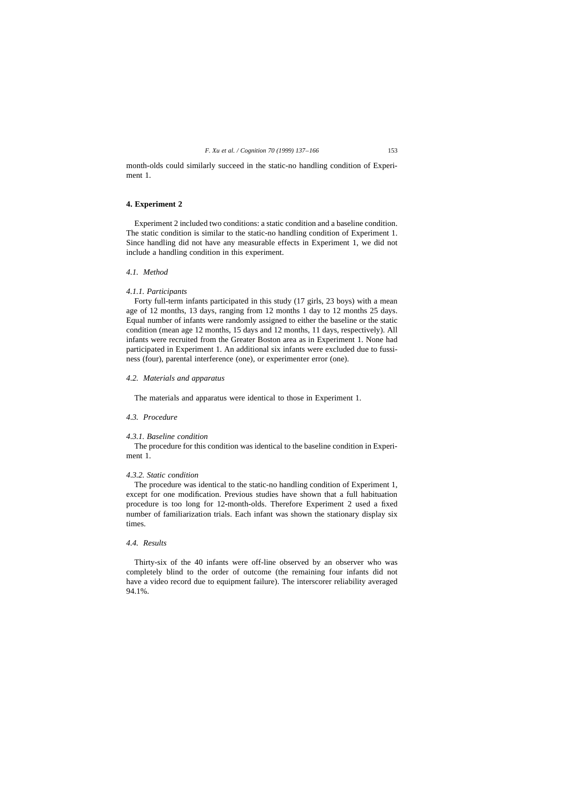month-olds could similarly succeed in the static-no handling condition of Experiment 1.

### **4. Experiment 2**

Experiment 2 included two conditions: a static condition and a baseline condition. The static condition is similar to the static-no handling condition of Experiment 1. Since handling did not have any measurable effects in Experiment 1, we did not include a handling condition in this experiment.

### *4.1. Method*

### *4.1.1. Participants*

Forty full-term infants participated in this study (17 girls, 23 boys) with a mean age of 12 months, 13 days, ranging from 12 months 1 day to 12 months 25 days. Equal number of infants were randomly assigned to either the baseline or the static condition (mean age 12 months, 15 days and 12 months, 11 days, respectively). All infants were recruited from the Greater Boston area as in Experiment 1. None had participated in Experiment 1. An additional six infants were excluded due to fussiness (four), parental interference (one), or experimenter error (one).

#### *4.2. Materials and apparatus*

The materials and apparatus were identical to those in Experiment 1.

#### *4.3. Procedure*

#### *4.3.1. Baseline condition*

The procedure for this condition was identical to the baseline condition in Experiment 1.

#### *4.3.2. Static condition*

The procedure was identical to the static-no handling condition of Experiment 1, except for one modification. Previous studies have shown that a full habituation procedure is too long for 12-month-olds. Therefore Experiment 2 used a fixed number of familiarization trials. Each infant was shown the stationary display six times.

### *4.4. Results*

Thirty-six of the 40 infants were off-line observed by an observer who was completely blind to the order of outcome (the remaining four infants did not have a video record due to equipment failure). The interscorer reliability averaged 94.1%.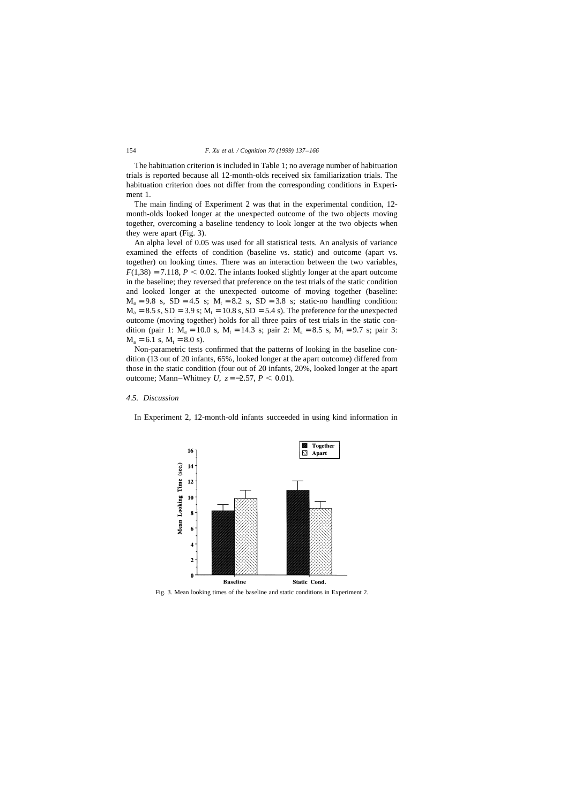The habituation criterion is included in Table 1; no average number of habituation trials is reported because all 12-month-olds received six familiarization trials. The habituation criterion does not differ from the corresponding conditions in Experiment 1.

The main finding of Experiment 2 was that in the experimental condition, 12 month-olds looked longer at the unexpected outcome of the two objects moving together, overcoming a baseline tendency to look longer at the two objects when they were apart (Fig. 3).

An alpha level of 0.05 was used for all statistical tests. An analysis of variance examined the effects of condition (baseline vs. static) and outcome (apart vs. together) on looking times. There was an interaction between the two variables,  $F(1,38) = 7.118$ ,  $P < 0.02$ . The infants looked slightly longer at the apart outcome in the baseline; they reversed that preference on the test trials of the static condition and looked longer at the unexpected outcome of moving together (baseline:  $M_a = 9.8$  s,  $SD = 4.5$  s;  $M_t = 8.2$  s,  $SD = 3.8$  s; static-no handling condition:  $M_a = 8.5$  s, SD = 3.9 s;  $M_t = 10.8$  s, SD = 5.4 s). The preference for the unexpected outcome (moving together) holds for all three pairs of test trials in the static condition (pair 1:  $M_a = 10.0$  s,  $M_t = 14.3$  s; pair 2:  $M_a = 8.5$  s,  $M_t = 9.7$  s; pair 3:  $M_a = 6.1$  s,  $M_t = 8.0$  s).

Non-parametric tests confirmed that the patterns of looking in the baseline condition (13 out of 20 infants, 65%, looked longer at the apart outcome) differed from those in the static condition (four out of 20 infants, 20%, looked longer at the apart outcome; Mann–Whitney *U*,  $z = -2.57$ ,  $P < 0.01$ ).

#### *4.5. Discussion*

In Experiment 2, 12-month-old infants succeeded in using kind information in



Fig. 3. Mean looking times of the baseline and static conditions in Experiment 2.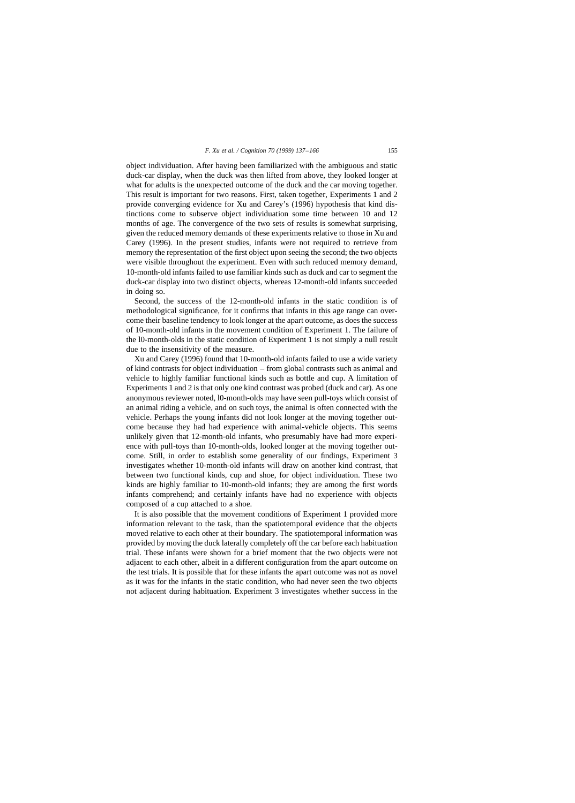object individuation. After having been familiarized with the ambiguous and static duck-car display, when the duck was then lifted from above, they looked longer at what for adults is the unexpected outcome of the duck and the car moving together. This result is important for two reasons. First, taken together, Experiments 1 and 2 provide converging evidence for Xu and Carey's (1996) hypothesis that kind distinctions come to subserve object individuation some time between 10 and 12 months of age. The convergence of the two sets of results is somewhat surprising, given the reduced memory demands of these experiments relative to those in Xu and Carey (1996). In the present studies, infants were not required to retrieve from memory the representation of the first object upon seeing the second; the two objects were visible throughout the experiment. Even with such reduced memory demand, 10-month-old infants failed to use familiar kinds such as duck and car to segment the duck-car display into two distinct objects, whereas 12-month-old infants succeeded in doing so.

Second, the success of the 12-month-old infants in the static condition is of methodological significance, for it confirms that infants in this age range can overcome their baseline tendency to look longer at the apart outcome, as does the success of 10-month-old infants in the movement condition of Experiment 1. The failure of the l0-month-olds in the static condition of Experiment 1 is not simply a null result due to the insensitivity of the measure.

Xu and Carey (1996) found that 10-month-old infants failed to use a wide variety of kind contrasts for object individuation – from global contrasts such as animal and vehicle to highly familiar functional kinds such as bottle and cup. A limitation of Experiments 1 and 2 is that only one kind contrast was probed (duck and car). As one anonymous reviewer noted, l0-month-olds may have seen pull-toys which consist of an animal riding a vehicle, and on such toys, the animal is often connected with the vehicle. Perhaps the young infants did not look longer at the moving together outcome because they had had experience with animal-vehicle objects. This seems unlikely given that 12-month-old infants, who presumably have had more experience with pull-toys than 10-month-olds, looked longer at the moving together outcome. Still, in order to establish some generality of our findings, Experiment 3 investigates whether 10-month-old infants will draw on another kind contrast, that between two functional kinds, cup and shoe, for object individuation. These two kinds are highly familiar to 10-month-old infants; they are among the first words infants comprehend; and certainly infants have had no experience with objects composed of a cup attached to a shoe.

It is also possible that the movement conditions of Experiment 1 provided more information relevant to the task, than the spatiotemporal evidence that the objects moved relative to each other at their boundary. The spatiotemporal information was provided by moving the duck laterally completely off the car before each habituation trial. These infants were shown for a brief moment that the two objects were not adjacent to each other, albeit in a different configuration from the apart outcome on the test trials. It is possible that for these infants the apart outcome was not as novel as it was for the infants in the static condition, who had never seen the two objects not adjacent during habituation. Experiment 3 investigates whether success in the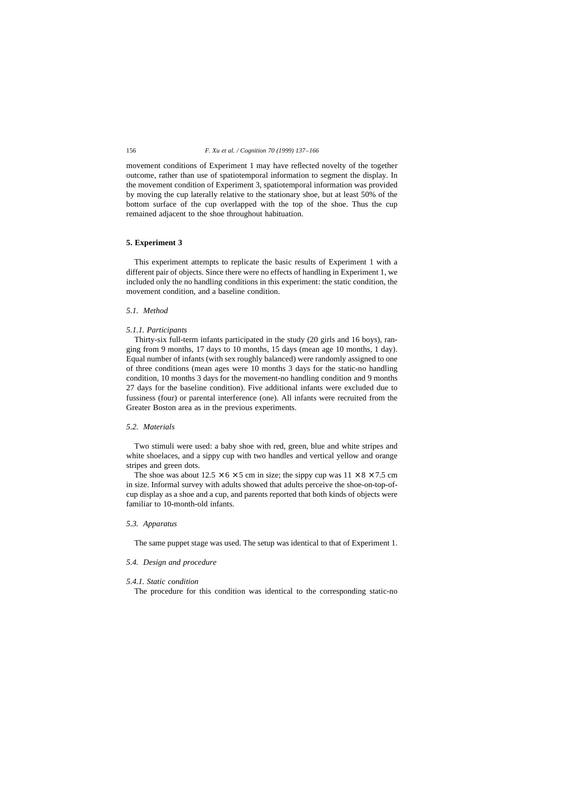movement conditions of Experiment 1 may have reflected novelty of the together outcome, rather than use of spatiotemporal information to segment the display. In the movement condition of Experiment 3, spatiotemporal information was provided by moving the cup laterally relative to the stationary shoe, but at least 50% of the bottom surface of the cup overlapped with the top of the shoe. Thus the cup remained adjacent to the shoe throughout habituation.

### **5. Experiment 3**

This experiment attempts to replicate the basic results of Experiment 1 with a different pair of objects. Since there were no effects of handling in Experiment 1, we included only the no handling conditions in this experiment: the static condition, the movement condition, and a baseline condition.

# *5.1. Method*

#### *5.1.1. Participants*

Thirty-six full-term infants participated in the study (20 girls and 16 boys), ranging from 9 months, 17 days to 10 months, 15 days (mean age 10 months, 1 day). Equal number of infants (with sex roughly balanced) were randomly assigned to one of three conditions (mean ages were 10 months 3 days for the static-no handling condition, 10 months 3 days for the movement-no handling condition and 9 months 27 days for the baseline condition). Five additional infants were excluded due to fussiness (four) or parental interference (one). All infants were recruited from the Greater Boston area as in the previous experiments.

### *5.2. Materials*

Two stimuli were used: a baby shoe with red, green, blue and white stripes and white shoelaces, and a sippy cup with two handles and vertical yellow and orange stripes and green dots.

The shoe was about  $12.5 \times 6 \times 5$  cm in size; the sippy cup was  $11 \times 8 \times 7.5$  cm in size. Informal survey with adults showed that adults perceive the shoe-on-top-ofcup display as a shoe and a cup, and parents reported that both kinds of objects were familiar to 10-month-old infants.

### *5.3. Apparatus*

The same puppet stage was used. The setup was identical to that of Experiment 1.

#### *5.4. Design and procedure*

#### *5.4.1. Static condition*

The procedure for this condition was identical to the corresponding static-no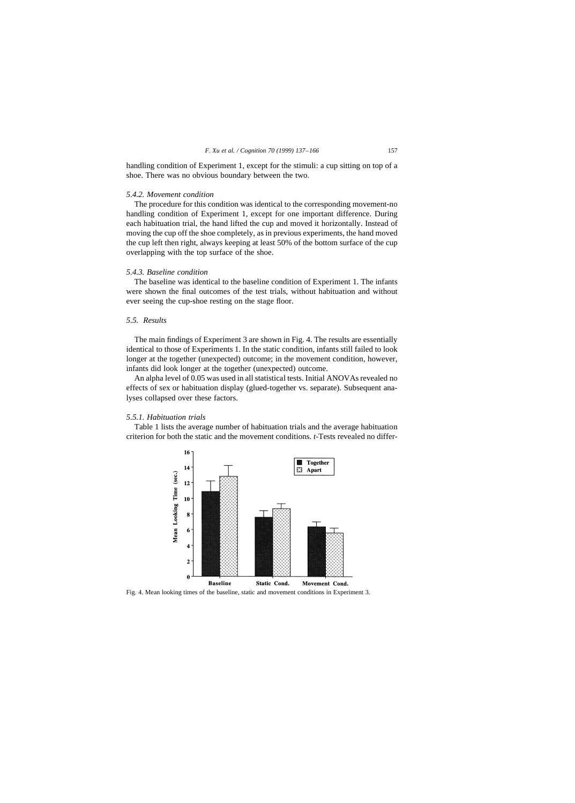handling condition of Experiment 1, except for the stimuli: a cup sitting on top of a shoe. There was no obvious boundary between the two.

#### *5.4.2. Movement condition*

The procedure for this condition was identical to the corresponding movement-no handling condition of Experiment 1, except for one important difference. During each habituation trial, the hand lifted the cup and moved it horizontally. Instead of moving the cup off the shoe completely, as in previous experiments, the hand moved the cup left then right, always keeping at least 50% of the bottom surface of the cup overlapping with the top surface of the shoe.

### *5.4.3. Baseline condition*

The baseline was identical to the baseline condition of Experiment 1. The infants were shown the final outcomes of the test trials, without habituation and without ever seeing the cup-shoe resting on the stage floor.

### *5.5. Results*

The main findings of Experiment 3 are shown in Fig. 4. The results are essentially identical to those of Experiments 1. In the static condition, infants still failed to look longer at the together (unexpected) outcome; in the movement condition, however, infants did look longer at the together (unexpected) outcome.

An alpha level of 0.05 was used in all statistical tests. Initial ANOVAs revealed no effects of sex or habituation display (glued-together vs. separate). Subsequent analyses collapsed over these factors.

### *5.5.1. Habituation trials*

Table 1 lists the average number of habituation trials and the average habituation criterion for both the static and the movement conditions. *t*-Tests revealed no differ-



Fig. 4. Mean looking times of the baseline, static and movement conditions in Experiment 3.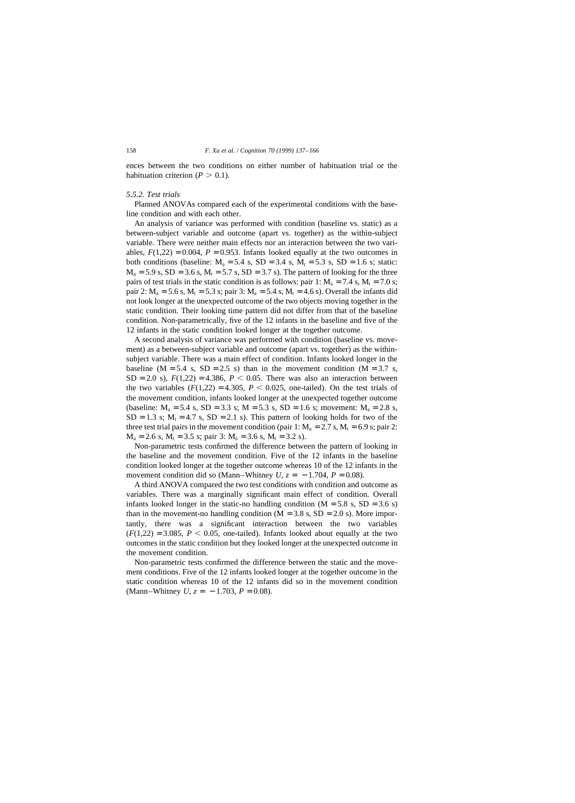ences between the two conditions on either number of habituation trial or the habituation criterion ( $P > 0.1$ ).

### *5.5.2. Test trials*

Planned ANOVAs compared each of the experimental conditions with the baseline condition and with each other.

An analysis of variance was performed with condition (baseline vs. static) as a between-subject variable and outcome (apart vs. together) as the within-subject variable. There were neither main effects nor an interaction between the two variables,  $F(1,22) = 0.004$ ,  $P = 0.953$ . Infants looked equally at the two outcomes in both conditions (baseline:  $M_a = 5.4$  s,  $SD = 3.4$  s,  $M_t = 5.3$  s,  $SD = 1.6$  s; static:  $M_a = 5.9$  s, SD = 3.6 s,  $M_t = 5.7$  s, SD = 3.7 s). The pattern of looking for the three pairs of test trials in the static condition is as follows: pair 1:  $M_a = 7.4$  s,  $M_t = 7.0$  s; pair 2:  $M_a = 5.6$  s,  $M_t = 5.3$  s; pair 3:  $M_a = 5.4$  s,  $M_t = 4.6$  s). Overall the infants did not look longer at the unexpected outcome of the two objects moving together in the static condition. Their looking time pattern did not differ from that of the baseline condition. Non-parametrically, five of the 12 infants in the baseline and five of the 12 infants in the static condition looked longer at the together outcome.

A second analysis of variance was performed with condition (baseline vs. movement) as a between-subject variable and outcome (apart vs. together) as the withinsubject variable. There was a main effect of condition. Infants looked longer in the baseline ( $M = 5.4$  s,  $SD = 2.5$  s) than in the movement condition ( $M = 3.7$  s,  $SD = 2.0 \text{ s}$ ,  $F(1,22) = 4.386$ ,  $P < 0.05$ . There was also an interaction between the two variables  $(F(1,22) = 4.305, P \le 0.025,$  one-tailed). On the test trials of the movement condition, infants looked longer at the unexpected together outcome (baseline:  $M_a = 5.4$  s,  $SD = 3.3$  s;  $M = 5.3$  s,  $SD = 1.6$  s; movement:  $M_a = 2.8$  s,  $SD = 1.3$  s;  $M_t = 4.7$  s,  $SD = 2.1$  s). This pattern of looking holds for two of the three test trial pairs in the movement condition (pair 1:  $M_a = 2.7$  s,  $M_t = 6.9$  s; pair 2:  $M_a = 2.6$  s,  $M_t = 3.5$  s; pair 3:  $M_a = 3.6$  s,  $M_t = 3.2$  s).

Non-parametric tests confirmed the difference between the pattern of looking in the baseline and the movement condition. Five of the 12 infants in the baseline condition looked longer at the together outcome whereas 10 of the 12 infants in the movement condition did so (Mann–Whitney  $U$ ,  $z = -1.704$ ,  $P = 0.08$ ).

A third ANOVA compared the two test conditions with condition and outcome as variables. There was a marginally significant main effect of condition. Overall infants looked longer in the static-no handling condition  $(M = 5.8 \text{ s}, SD = 3.6 \text{ s})$ than in the movement-no handling condition ( $M = 3.8$  s,  $SD = 2.0$  s). More importantly, there was a significant interaction between the two variables  $(F(1,22) = 3.085, P < 0.05,$  one-tailed). Infants looked about equally at the two outcomes in the static condition but they looked longer at the unexpected outcome in the movement condition.

Non-parametric tests confirmed the difference between the static and the movement conditions. Five of the 12 infants looked longer at the together outcome in the static condition whereas 10 of the 12 infants did so in the movement condition (Mann–Whitney  $U, z = -1.703, P = 0.08$ ).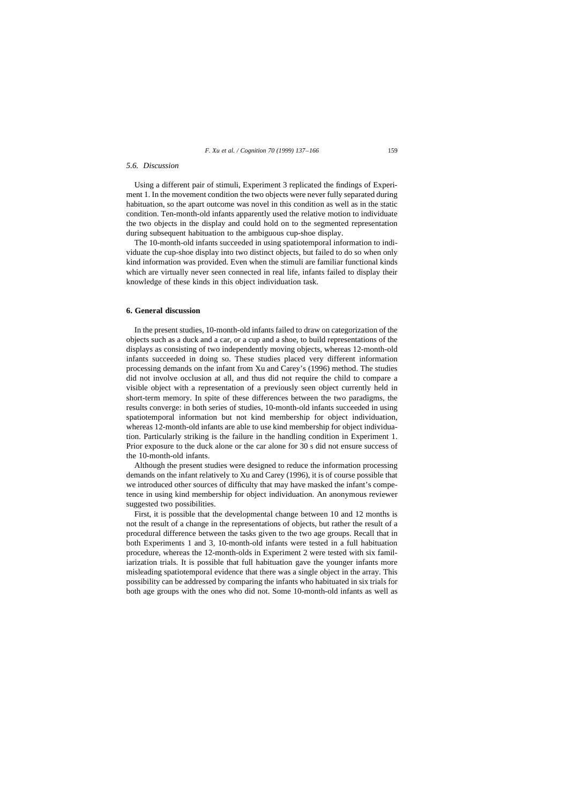### *5.6. Discussion*

Using a different pair of stimuli, Experiment 3 replicated the findings of Experiment 1. In the movement condition the two objects were never fully separated during habituation, so the apart outcome was novel in this condition as well as in the static condition. Ten-month-old infants apparently used the relative motion to individuate the two objects in the display and could hold on to the segmented representation during subsequent habituation to the ambiguous cup-shoe display.

The 10-month-old infants succeeded in using spatiotemporal information to individuate the cup-shoe display into two distinct objects, but failed to do so when only kind information was provided. Even when the stimuli are familiar functional kinds which are virtually never seen connected in real life, infants failed to display their knowledge of these kinds in this object individuation task.

# **6. General discussion**

In the present studies, 10-month-old infants failed to draw on categorization of the objects such as a duck and a car, or a cup and a shoe, to build representations of the displays as consisting of two independently moving objects, whereas 12-month-old infants succeeded in doing so. These studies placed very different information processing demands on the infant from Xu and Carey's (1996) method. The studies did not involve occlusion at all, and thus did not require the child to compare a visible object with a representation of a previously seen object currently held in short-term memory. In spite of these differences between the two paradigms, the results converge: in both series of studies, 10-month-old infants succeeded in using spatiotemporal information but not kind membership for object individuation, whereas 12-month-old infants are able to use kind membership for object individuation. Particularly striking is the failure in the handling condition in Experiment 1. Prior exposure to the duck alone or the car alone for 30 s did not ensure success of the 10-month-old infants.

Although the present studies were designed to reduce the information processing demands on the infant relatively to Xu and Carey (1996), it is of course possible that we introduced other sources of difficulty that may have masked the infant's competence in using kind membership for object individuation. An anonymous reviewer suggested two possibilities.

First, it is possible that the developmental change between 10 and 12 months is not the result of a change in the representations of objects, but rather the result of a procedural difference between the tasks given to the two age groups. Recall that in both Experiments 1 and 3, 10-month-old infants were tested in a full habituation procedure, whereas the 12-month-olds in Experiment 2 were tested with six familiarization trials. It is possible that full habituation gave the younger infants more misleading spatiotemporal evidence that there was a single object in the array. This possibility can be addressed by comparing the infants who habituated in six trials for both age groups with the ones who did not. Some 10-month-old infants as well as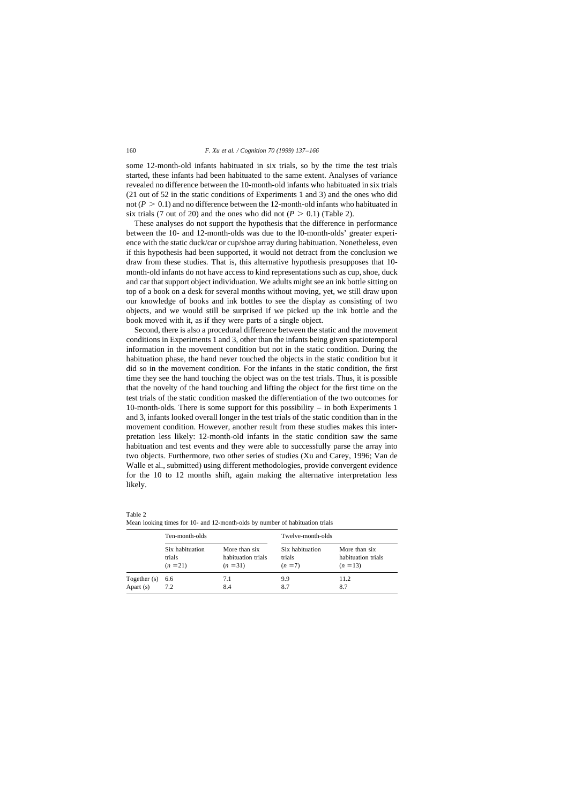some 12-month-old infants habituated in six trials, so by the time the test trials started, these infants had been habituated to the same extent. Analyses of variance revealed no difference between the 10-month-old infants who habituated in six trials (21 out of 52 in the static conditions of Experiments 1 and 3) and the ones who did not  $(P > 0.1)$  and no difference between the 12-month-old infants who habituated in six trials (7 out of 20) and the ones who did not ( $P > 0.1$ ) (Table 2).

These analyses do not support the hypothesis that the difference in performance between the 10- and 12-month-olds was due to the l0-month-olds' greater experience with the static duck/car or cup/shoe array during habituation. Nonetheless, even if this hypothesis had been supported, it would not detract from the conclusion we draw from these studies. That is, this alternative hypothesis presupposes that 10 month-old infants do not have access to kind representations such as cup, shoe, duck and car that support object individuation. We adults might see an ink bottle sitting on top of a book on a desk for several months without moving, yet, we still draw upon our knowledge of books and ink bottles to see the display as consisting of two objects, and we would still be surprised if we picked up the ink bottle and the book moved with it, as if they were parts of a single object.

Second, there is also a procedural difference between the static and the movement conditions in Experiments 1 and 3, other than the infants being given spatiotemporal information in the movement condition but not in the static condition. During the habituation phase, the hand never touched the objects in the static condition but it did so in the movement condition. For the infants in the static condition, the first time they see the hand touching the object was on the test trials. Thus, it is possible that the novelty of the hand touching and lifting the object for the first time on the test trials of the static condition masked the differentiation of the two outcomes for 10-month-olds. There is some support for this possibility – in both Experiments 1 and 3, infants looked overall longer in the test trials of the static condition than in the movement condition. However, another result from these studies makes this interpretation less likely: 12-month-old infants in the static condition saw the same habituation and test events and they were able to successfully parse the array into two objects. Furthermore, two other series of studies (Xu and Carey, 1996; Van de Walle et al., submitted) using different methodologies, provide convergent evidence for the 10 to 12 months shift, again making the alternative interpretation less likely.

|                             | Ten-month-olds                          |                                                   | Twelve-month-olds                      |                                                                  |  |  |  |
|-----------------------------|-----------------------------------------|---------------------------------------------------|----------------------------------------|------------------------------------------------------------------|--|--|--|
|                             | Six habituation<br>trials<br>$(n = 21)$ | More than six<br>habituation trials<br>$(n = 31)$ | Six habituation<br>trials<br>$(n = 7)$ | More than six<br>habituation trials<br>$(n = 13)$<br>11.2<br>8.7 |  |  |  |
| Together $(s)$<br>Apart (s) | 6.6<br>7.2                              | 7.1<br>8.4                                        | 9.9<br>8.7                             |                                                                  |  |  |  |

| Table 2 |                                                                              |  |  |  |  |  |  |  |
|---------|------------------------------------------------------------------------------|--|--|--|--|--|--|--|
|         | Mean looking times for 10- and 12-month-olds by number of habituation trials |  |  |  |  |  |  |  |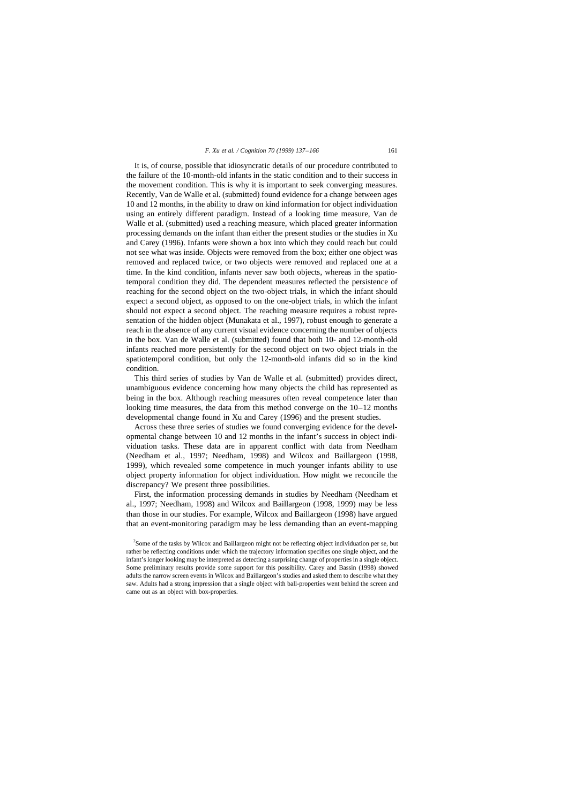It is, of course, possible that idiosyncratic details of our procedure contributed to the failure of the 10-month-old infants in the static condition and to their success in the movement condition. This is why it is important to seek converging measures. Recently, Van de Walle et al. (submitted) found evidence for a change between ages 10 and 12 months, in the ability to draw on kind information for object individuation using an entirely different paradigm. Instead of a looking time measure, Van de Walle et al. (submitted) used a reaching measure, which placed greater information processing demands on the infant than either the present studies or the studies in Xu and Carey (1996). Infants were shown a box into which they could reach but could not see what was inside. Objects were removed from the box; either one object was removed and replaced twice, or two objects were removed and replaced one at a time. In the kind condition, infants never saw both objects, whereas in the spatiotemporal condition they did. The dependent measures reflected the persistence of reaching for the second object on the two-object trials, in which the infant should expect a second object, as opposed to on the one-object trials, in which the infant should not expect a second object. The reaching measure requires a robust representation of the hidden object (Munakata et al., 1997), robust enough to generate a reach in the absence of any current visual evidence concerning the number of objects in the box. Van de Walle et al. (submitted) found that both 10- and 12-month-old infants reached more persistently for the second object on two object trials in the spatiotemporal condition, but only the 12-month-old infants did so in the kind condition.

This third series of studies by Van de Walle et al. (submitted) provides direct, unambiguous evidence concerning how many objects the child has represented as being in the box. Although reaching measures often reveal competence later than looking time measures, the data from this method converge on the 10–12 months developmental change found in Xu and Carey (1996) and the present studies.

Across these three series of studies we found converging evidence for the developmental change between 10 and 12 months in the infant's success in object individuation tasks. These data are in apparent conflict with data from Needham (Needham et al., 1997; Needham, 1998) and Wilcox and Baillargeon (1998, 1999), which revealed some competence in much younger infants ability to use object property information for object individuation. How might we reconcile the discrepancy? We present three possibilities.

First, the information processing demands in studies by Needham (Needham et al., 1997; Needham, 1998) and Wilcox and Baillargeon (1998, 1999) may be less than those in our studies. For example, Wilcox and Baillargeon (1998) have argued that an event-monitoring paradigm may be less demanding than an event-mapping

<sup>2</sup>Some of the tasks by Wilcox and Baillargeon might not be reflecting object individuation per se, but rather be reflecting conditions under which the trajectory information specifies one single object, and the infant's longer looking may be interpreted as detecting a surprising change of properties in a single object. Some preliminary results provide some support for this possibility. Carey and Bassin (1998) showed adults the narrow screen events in Wilcox and Baillargeon's studies and asked them to describe what they saw. Adults had a strong impression that a single object with ball-properties went behind the screen and came out as an object with box-properties.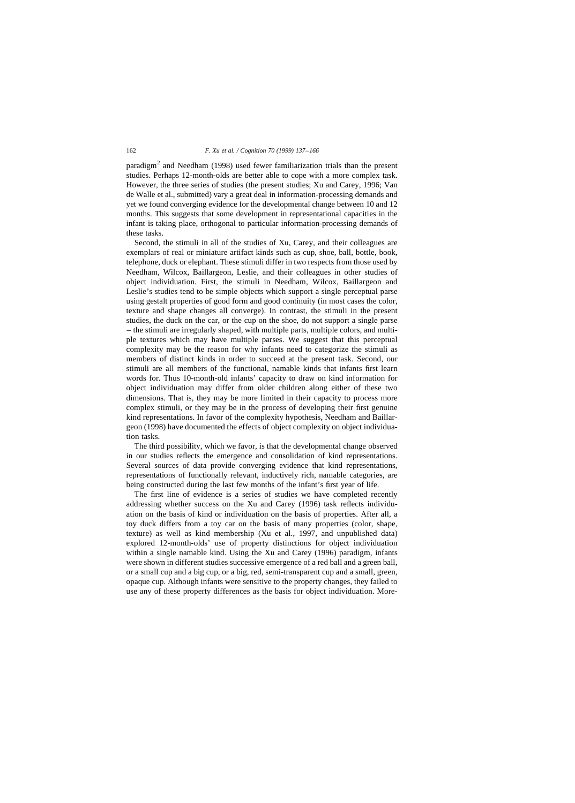paradigm<sup>2</sup> and Needham (1998) used fewer familiarization trials than the present studies. Perhaps 12-month-olds are better able to cope with a more complex task. However, the three series of studies (the present studies; Xu and Carey, 1996; Van de Walle et al., submitted) vary a great deal in information-processing demands and yet we found converging evidence for the developmental change between 10 and 12 months. This suggests that some development in representational capacities in the infant is taking place, orthogonal to particular information-processing demands of these tasks.

Second, the stimuli in all of the studies of Xu, Carey, and their colleagues are exemplars of real or miniature artifact kinds such as cup, shoe, ball, bottle, book, telephone, duck or elephant. These stimuli differ in two respects from those used by Needham, Wilcox, Baillargeon, Leslie, and their colleagues in other studies of object individuation. First, the stimuli in Needham, Wilcox, Baillargeon and Leslie's studies tend to be simple objects which support a single perceptual parse using gestalt properties of good form and good continuity (in most cases the color, texture and shape changes all converge). In contrast, the stimuli in the present studies, the duck on the car, or the cup on the shoe, do not support a single parse – the stimuli are irregularly shaped, with multiple parts, multiple colors, and multiple textures which may have multiple parses. We suggest that this perceptual complexity may be the reason for why infants need to categorize the stimuli as members of distinct kinds in order to succeed at the present task. Second, our stimuli are all members of the functional, namable kinds that infants first learn words for. Thus 10-month-old infants' capacity to draw on kind information for object individuation may differ from older children along either of these two dimensions. That is, they may be more limited in their capacity to process more complex stimuli, or they may be in the process of developing their first genuine kind representations. In favor of the complexity hypothesis, Needham and Baillargeon (1998) have documented the effects of object complexity on object individuation tasks.

The third possibility, which we favor, is that the developmental change observed in our studies reflects the emergence and consolidation of kind representations. Several sources of data provide converging evidence that kind representations, representations of functionally relevant, inductively rich, namable categories, are being constructed during the last few months of the infant's first year of life.

The first line of evidence is a series of studies we have completed recently addressing whether success on the Xu and Carey (1996) task reflects individuation on the basis of kind or individuation on the basis of properties. After all, a toy duck differs from a toy car on the basis of many properties (color, shape, texture) as well as kind membership (Xu et al., 1997, and unpublished data) explored 12-month-olds' use of property distinctions for object individuation within a single namable kind. Using the Xu and Carey (1996) paradigm, infants were shown in different studies successive emergence of a red ball and a green ball, or a small cup and a big cup, or a big, red, semi-transparent cup and a small, green, opaque cup. Although infants were sensitive to the property changes, they failed to use any of these property differences as the basis for object individuation. More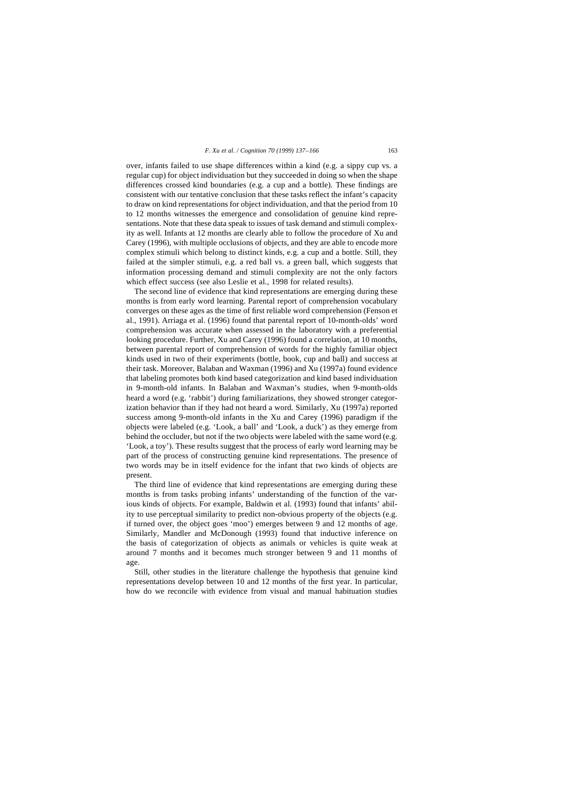over, infants failed to use shape differences within a kind (e.g. a sippy cup vs. a regular cup) for object individuation but they succeeded in doing so when the shape differences crossed kind boundaries (e.g. a cup and a bottle). These findings are consistent with our tentative conclusion that these tasks reflect the infant's capacity to draw on kind representations for object individuation, and that the period from 10 to 12 months witnesses the emergence and consolidation of genuine kind representations. Note that these data speak to issues of task demand and stimuli complexity as well. Infants at 12 months are clearly able to follow the procedure of Xu and Carey (1996), with multiple occlusions of objects, and they are able to encode more complex stimuli which belong to distinct kinds, e.g. a cup and a bottle. Still, they failed at the simpler stimuli, e.g. a red ball vs. a green ball, which suggests that information processing demand and stimuli complexity are not the only factors which effect success (see also Leslie et al., 1998 for related results).

The second line of evidence that kind representations are emerging during these months is from early word learning. Parental report of comprehension vocabulary converges on these ages as the time of first reliable word comprehension (Fenson et al., 1991). Arriaga et al. (1996) found that parental report of 10-month-olds' word comprehension was accurate when assessed in the laboratory with a preferential looking procedure. Further, Xu and Carey (1996) found a correlation, at 10 months, between parental report of comprehension of words for the highly familiar object kinds used in two of their experiments (bottle, book, cup and ball) and success at their task. Moreover, Balaban and Waxman (1996) and Xu (1997a) found evidence that labeling promotes both kind based categorization and kind based individuation in 9-month-old infants. In Balaban and Waxman's studies, when 9-month-olds heard a word (e.g. 'rabbit') during familiarizations, they showed stronger categorization behavior than if they had not heard a word. Similarly, Xu (1997a) reported success among 9-month-old infants in the Xu and Carey (1996) paradigm if the objects were labeled (e.g. 'Look, a ball' and 'Look, a duck') as they emerge from behind the occluder, but not if the two objects were labeled with the same word (e.g. 'Look, a toy'). These results suggest that the process of early word learning may be part of the process of constructing genuine kind representations. The presence of two words may be in itself evidence for the infant that two kinds of objects are present.

The third line of evidence that kind representations are emerging during these months is from tasks probing infants' understanding of the function of the various kinds of objects. For example, Baldwin et al. (1993) found that infants' ability to use perceptual similarity to predict non-obvious property of the objects (e.g. if turned over, the object goes 'moo') emerges between 9 and 12 months of age. Similarly, Mandler and McDonough (1993) found that inductive inference on the basis of categorization of objects as animals or vehicles is quite weak at around 7 months and it becomes much stronger between 9 and 11 months of age.

Still, other studies in the literature challenge the hypothesis that genuine kind representations develop between 10 and 12 months of the first year. In particular, how do we reconcile with evidence from visual and manual habituation studies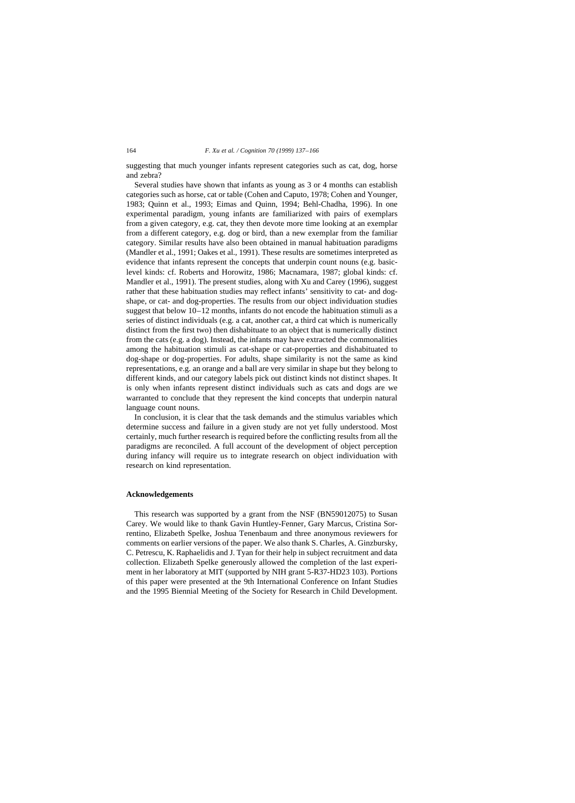suggesting that much younger infants represent categories such as cat, dog, horse and zebra?

Several studies have shown that infants as young as 3 or 4 months can establish categories such as horse, cat or table (Cohen and Caputo, 1978; Cohen and Younger, 1983; Quinn et al., 1993; Eimas and Quinn, 1994; Behl-Chadha, 1996). In one experimental paradigm, young infants are familiarized with pairs of exemplars from a given category, e.g. cat, they then devote more time looking at an exemplar from a different category, e.g. dog or bird, than a new exemplar from the familiar category. Similar results have also been obtained in manual habituation paradigms (Mandler et al., 1991; Oakes et al., 1991). These results are sometimes interpreted as evidence that infants represent the concepts that underpin count nouns (e.g. basiclevel kinds: cf. Roberts and Horowitz, 1986; Macnamara, 1987; global kinds: cf. Mandler et al., 1991). The present studies, along with Xu and Carey (1996), suggest rather that these habituation studies may reflect infants' sensitivity to cat- and dogshape, or cat- and dog-properties. The results from our object individuation studies suggest that below 10–12 months, infants do not encode the habituation stimuli as a series of distinct individuals (e.g. a cat, another cat, a third cat which is numerically distinct from the first two) then dishabituate to an object that is numerically distinct from the cats (e.g. a dog). Instead, the infants may have extracted the commonalities among the habituation stimuli as cat-shape or cat-properties and dishabituated to dog-shape or dog-properties. For adults, shape similarity is not the same as kind representations, e.g. an orange and a ball are very similar in shape but they belong to different kinds, and our category labels pick out distinct kinds not distinct shapes. It is only when infants represent distinct individuals such as cats and dogs are we warranted to conclude that they represent the kind concepts that underpin natural language count nouns.

In conclusion, it is clear that the task demands and the stimulus variables which determine success and failure in a given study are not yet fully understood. Most certainly, much further research is required before the conflicting results from all the paradigms are reconciled. A full account of the development of object perception during infancy will require us to integrate research on object individuation with research on kind representation.

### **Acknowledgements**

This research was supported by a grant from the NSF (BN59012075) to Susan Carey. We would like to thank Gavin Huntley-Fenner, Gary Marcus, Cristina Sorrentino, Elizabeth Spelke, Joshua Tenenbaum and three anonymous reviewers for comments on earlier versions of the paper. We also thank S. Charles, A. Ginzbursky, C. Petrescu, K. Raphaelidis and J. Tyan for their help in subject recruitment and data collection. Elizabeth Spelke generously allowed the completion of the last experiment in her laboratory at MIT (supported by NIH grant 5-R37-HD23 103). Portions of this paper were presented at the 9th International Conference on Infant Studies and the 1995 Biennial Meeting of the Society for Research in Child Development.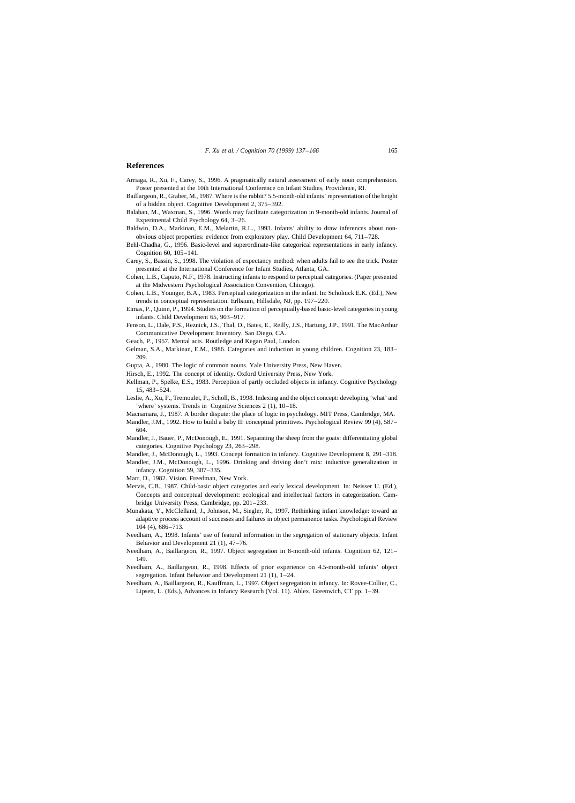#### **References**

- Arriaga, R., Xu, F., Carey, S., 1996. A pragmatically natural assessment of early noun comprehension. Poster presented at the 10th International Conference on Infant Studies, Providence, RI.
- Baillargeon, R., Graber, M., 1987. Where is the rabbit? 5.5-month-old infants' representation of the height of a hidden object. Cognitive Development 2, 375–392.
- Balaban, M., Waxman, S., 1996. Words may facilitate categorization in 9-month-old infants. Journal of Experimental Child Psychology 64, 3–26.
- Baldwin, D.A., Markinan, E.M., Melartin, R.L., 1993. Infants' ability to draw inferences about nonobvious object properties: evidence from exploratory play. Child Development 64, 711–728.
- Behl-Chadha, G., 1996. Basic-level and superordinate-like categorical representations in early infancy. Cognition 60, 105–141.
- Carey, S., Bassin, S., 1998. The violation of expectancy method: when adults fail to see the trick. Poster presented at the International Conference for Infant Studies, Atlanta, GA.
- Cohen, L.B., Caputo, N.F., 1978. Instructing infants to respond to perceptual categories. (Paper presented at the Midwestern Psychological Association Convention, Chicago).
- Cohen, L.B., Younger, B.A., 1983. Perceptual categorization in the infant. In: Scholnick E.K. (Ed.), New trends in conceptual representation. Erlbaum, Hillsdale, NJ, pp. 197–220.
- Eimas, P., Quinn, P., 1994. Studies on the formation of perceptually-based basic-level categories in young infants. Child Development 65, 903–917.
- Fenson, L., Dale, P.S., Reznick, J.S., Thal, D., Bates, E., Reilly, J.S., Hartung, J.P., 1991. The MacArthur Communicative Development Inventory. San Diego, CA.
- Geach, P., 1957. Mental acts. Routledge and Kegan Paul, London.
- Gelman, S.A., Markinan, E.M., 1986. Categories and induction in young children. Cognition 23, 183– 209.
- Gupta, A., 1980. The logic of common nouns. Yale University Press, New Haven.
- Hirsch, E., 1992. The concept of identity. Oxford University Press, New York.
- Kellman, P., Spelke, E.S., 1983. Perception of partly occluded objects in infancy. Cognitive Psychology 15, 483–524.
- Leslie, A., Xu, F., Tremoulet, P., Scholl, B., 1998. Indexing and the object concept: developing 'what' and 'where' systems. Trends in Cognitive Sciences 2 (1), 10–18.
- Macnamara, J., 1987. A border dispute: the place of logic in psychology. MIT Press, Cambridge, MA.
- Mandler, J.M., 1992. How to build a baby II: conceptual primitives. Psychological Review 99 (4), 587– 604.
- Mandler, J., Bauer, P., McDonough, E., 1991. Separating the sheep from the goats: differentiating global categories. Cognitive Psychology 23, 263–298.
- Mandler, J., McDonough, L., 1993. Concept formation in infancy. Cognitive Development 8, 291–318.
- Mandler, J.M., McDonough, L., 1996. Drinking and driving don't mix: inductive generalization in infancy. Cognition 59, 307–335.
- Marr, D., 1982. Vision. Freedman, New York.
- Mervis, C.B., 1987. Child-basic object categories and early lexical development. In: Neisser U. (Ed.), Concepts and conceptual development: ecological and intellectual factors in categorization. Cambridge University Press, Cambridge, pp. 201–233.
- Munakata, Y., McClelland, J., Johnson, M., Siegler, R., 1997. Rethinking infant knowledge: toward an adaptive process account of successes and failures in object permanence tasks. Psychological Review 104 (4), 686–713.
- Needham, A., 1998. Infants' use of featural information in the segregation of stationary objects. Infant Behavior and Development 21 (1), 47–76.
- Needham, A., Baillargeon, R., 1997. Object segregation in 8-month-old infants. Cognition 62, 121– 149.
- Needham, A., Baillargeon, R., 1998. Effects of prior experience on 4.5-month-old infants' object segregation. Infant Behavior and Development 21 (1), 1–24.
- Needham, A., Baillargeon, R., Kauffman, L., 1997. Object segregation in infancy. In: Rovee-Collier, C., Lipsett, L. (Eds.), Advances in Infancy Research (Vol. 11). Ablex, Greenwich, CT pp. 1–39.